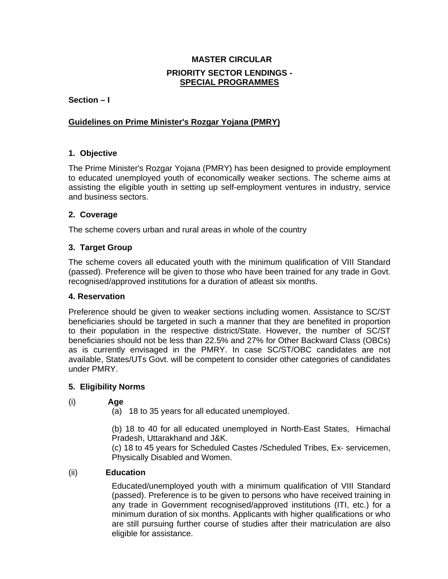## **MASTER CIRCULAR PRIORITY SECTOR LENDINGS - SPECIAL PROGRAMMES**

**Section – I** 

## **Guidelines on Prime Minister's Rozgar Yojana (PMRY)**

## **1. Objective**

The Prime Minister's Rozgar Yojana (PMRY) has been designed to provide employment to educated unemployed youth of economically weaker sections. The scheme aims at assisting the eligible youth in setting up self-employment ventures in industry, service and business sectors.

### **2. Coverage**

The scheme covers urban and rural areas in whole of the country

### **3. Target Group**

The scheme covers all educated youth with the minimum qualification of VIII Standard (passed). Preference will be given to those who have been trained for any trade in Govt. recognised/approved institutions for a duration of atleast six months.

### **4. Reservation**

Preference should be given to weaker sections including women. Assistance to SC/ST beneficiaries should be targeted in such a manner that they are benefited in proportion to their population in the respective district/State. However, the number of SC/ST beneficiaries should not be less than 22.5% and 27% for Other Backward Class (OBCs) as is currently envisaged in the PMRY. In case SC/ST/OBC candidates are not available, States/UTs Govt. will be competent to consider other categories of candidates under PMRY.

## **5. Eligibility Norms**

## (i) **Age**

(a) 18 to 35 years for all educated unemployed.

(b) 18 to 40 for all educated unemployed in North-East States, Himachal Pradesh, Uttarakhand and J&K.

(c) 18 to 45 years for Scheduled Castes /Scheduled Tribes, Ex- servicemen, Physically Disabled and Women.

## (ii) **Education**

Educated/unemployed youth with a minimum qualification of VIII Standard (passed). Preference is to be given to persons who have received training in any trade in Government recognised/approved institutions (ITI, etc.) for a minimum duration of six months. Applicants with higher qualifications or who are still pursuing further course of studies after their matriculation are also eligible for assistance.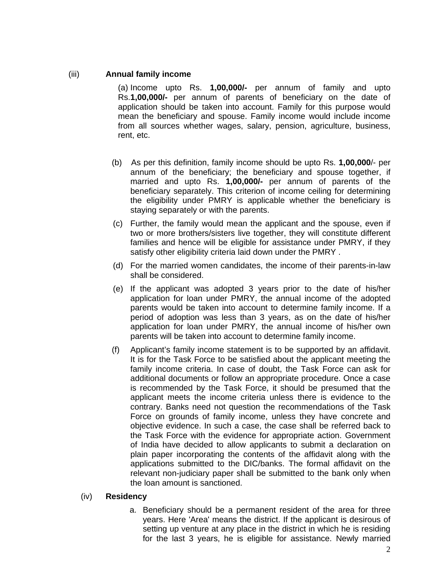## (iii) **Annual family income**

(a) Income upto Rs. **1,00,000/-** per annum of family and upto Rs.**1,00,000/-** per annum of parents of beneficiary on the date of application should be taken into account. Family for this purpose would mean the beneficiary and spouse. Family income would include income from all sources whether wages, salary, pension, agriculture, business, rent, etc.

- (b) As per this definition, family income should be upto Rs. **1,00,000**/- per annum of the beneficiary; the beneficiary and spouse together, if married and upto Rs. **1,00,000/-** per annum of parents of the beneficiary separately. This criterion of income ceiling for determining the eligibility under PMRY is applicable whether the beneficiary is staying separately or with the parents.
- (c) Further, the family would mean the applicant and the spouse, even if two or more brothers/sisters live together, they will constitute different families and hence will be eligible for assistance under PMRY, if they satisfy other eligibility criteria laid down under the PMRY .
- (d) For the married women candidates, the income of their parents-in-law shall be considered.
- (e) If the applicant was adopted 3 years prior to the date of his/her application for loan under PMRY, the annual income of the adopted parents would be taken into account to determine family income. If a period of adoption was less than 3 years, as on the date of his/her application for loan under PMRY, the annual income of his/her own parents will be taken into account to determine family income.
- (f) Applicant's family income statement is to be supported by an affidavit. It is for the Task Force to be satisfied about the applicant meeting the family income criteria. In case of doubt, the Task Force can ask for additional documents or follow an appropriate procedure. Once a case is recommended by the Task Force, it should be presumed that the applicant meets the income criteria unless there is evidence to the contrary. Banks need not question the recommendations of the Task Force on grounds of family income, unless they have concrete and objective evidence. In such a case, the case shall be referred back to the Task Force with the evidence for appropriate action. Government of India have decided to allow applicants to submit a declaration on plain paper incorporating the contents of the affidavit along with the applications submitted to the DIC/banks. The formal affidavit on the relevant non-judiciary paper shall be submitted to the bank only when the loan amount is sanctioned.

### (iv) **Residency**

a. Beneficiary should be a permanent resident of the area for three years. Here 'Area' means the district. If the applicant is desirous of setting up venture at any place in the district in which he is residing for the last 3 years, he is eligible for assistance. Newly married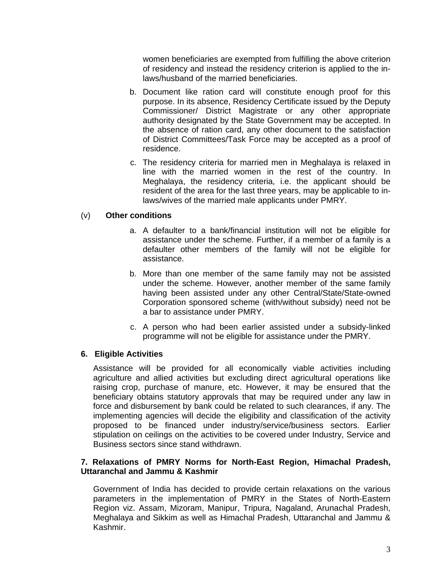women beneficiaries are exempted from fulfilling the above criterion of residency and instead the residency criterion is applied to the inlaws/husband of the married beneficiaries.

- b. Document like ration card will constitute enough proof for this purpose. In its absence, Residency Certificate issued by the Deputy Commissioner/ District Magistrate or any other appropriate authority designated by the State Government may be accepted. In the absence of ration card, any other document to the satisfaction of District Committees/Task Force may be accepted as a proof of residence.
- c. The residency criteria for married men in Meghalaya is relaxed in line with the married women in the rest of the country. In Meghalaya, the residency criteria, i.e. the applicant should be resident of the area for the last three years, may be applicable to inlaws/wives of the married male applicants under PMRY.

### (v) **Other conditions**

- a. A defaulter to a bank/financial institution will not be eligible for assistance under the scheme. Further, if a member of a family is a defaulter other members of the family will not be eligible for assistance.
- b. More than one member of the same family may not be assisted under the scheme. However, another member of the same family having been assisted under any other Central/State/State-owned Corporation sponsored scheme (with/without subsidy) need not be a bar to assistance under PMRY.
- c. A person who had been earlier assisted under a subsidy-linked programme will not be eligible for assistance under the PMRY.

### **6. Eligible Activities**

Assistance will be provided for all economically viable activities including agriculture and allied activities but excluding direct agricultural operations like raising crop, purchase of manure, etc. However, it may be ensured that the beneficiary obtains statutory approvals that may be required under any law in force and disbursement by bank could be related to such clearances, if any. The implementing agencies will decide the eligibility and classification of the activity proposed to be financed under industry/service/business sectors. Earlier stipulation on ceilings on the activities to be covered under Industry, Service and Business sectors since stand withdrawn.

### **7. Relaxations of PMRY Norms for North-East Region, Himachal Pradesh, Uttaranchal and Jammu & Kashmir**

Government of India has decided to provide certain relaxations on the various parameters in the implementation of PMRY in the States of North-Eastern Region viz. Assam, Mizoram, Manipur, Tripura, Nagaland, Arunachal Pradesh, Meghalaya and Sikkim as well as Himachal Pradesh, Uttaranchal and Jammu & Kashmir.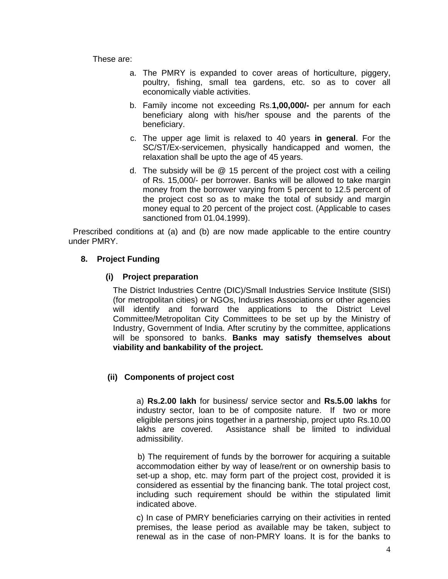These are:

- a. The PMRY is expanded to cover areas of horticulture, piggery, poultry, fishing, small tea gardens, etc. so as to cover all economically viable activities.
- b. Family income not exceeding Rs.**1,00,000/-** per annum for each beneficiary along with his/her spouse and the parents of the beneficiary.
- c. The upper age limit is relaxed to 40 years **in general**. For the SC/ST/Ex-servicemen, physically handicapped and women, the relaxation shall be upto the age of 45 years.
- d. The subsidy will be @ 15 percent of the project cost with a ceiling of Rs. 15,000/- per borrower. Banks will be allowed to take margin money from the borrower varying from 5 percent to 12.5 percent of the project cost so as to make the total of subsidy and margin money equal to 20 percent of the project cost. (Applicable to cases sanctioned from 01.04.1999).

 Prescribed conditions at (a) and (b) are now made applicable to the entire country under PMRY.

## **8. Project Funding**

## **(i) Project preparation**

The District Industries Centre (DIC)/Small Industries Service Institute (SISI) (for metropolitan cities) or NGOs, Industries Associations or other agencies will identify and forward the applications to the District Level Committee/Metropolitan City Committees to be set up by the Ministry of Industry, Government of India. After scrutiny by the committee, applications will be sponsored to banks. **Banks may satisfy themselves about viability and bankability of the project.** 

## **(ii)****Components of project cost**

a) **Rs.2.00 lakh** for business/ service sector and **Rs.5.00** l**akhs** for industry sector, loan to be of composite nature. If two or more eligible persons joins together in a partnership, project upto Rs.10.00 lakhs are covered. Assistance shall be limited to individual admissibility.

 b) The requirement of funds by the borrower for acquiring a suitable accommodation either by way of lease/rent or on ownership basis to set-up a shop, etc. may form part of the project cost, provided it is considered as essential by the financing bank. The total project cost, including such requirement should be within the stipulated limit indicated above.

c) In case of PMRY beneficiaries carrying on their activities in rented premises, the lease period as available may be taken, subject to renewal as in the case of non-PMRY loans. It is for the banks to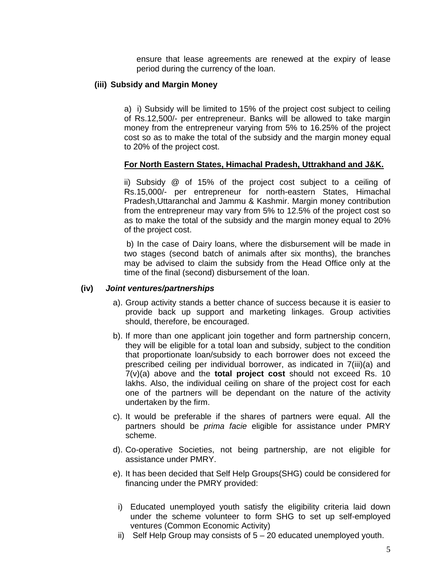ensure that lease agreements are renewed at the expiry of lease period during the currency of the loan.

## **(iii) Subsidy and Margin Money**

a) i) Subsidy will be limited to 15% of the project cost subject to ceiling of Rs.12,500/- per entrepreneur. Banks will be allowed to take margin money from the entrepreneur varying from 5% to 16.25% of the project cost so as to make the total of the subsidy and the margin money equal to 20% of the project cost.

## **For North Eastern States, Himachal Pradesh, Uttrakhand and J&K.**

ii) Subsidy @ of 15% of the project cost subject to a ceiling of Rs.15,000/- per entrepreneur for north-eastern States, Himachal Pradesh,Uttaranchal and Jammu & Kashmir. Margin money contribution from the entrepreneur may vary from 5% to 12.5% of the project cost so as to make the total of the subsidy and the margin money equal to 20% of the project cost.

 b) In the case of Dairy loans, where the disbursement will be made in two stages (second batch of animals after six months), the branches may be advised to claim the subsidy from the Head Office only at the time of the final (second) disbursement of the loan.

### **(iv)** *Joint ventures/partnerships*

- a). Group activity stands a better chance of success because it is easier to provide back up support and marketing linkages. Group activities should, therefore, be encouraged.
- b). If more than one applicant join together and form partnership concern, they will be eligible for a total loan and subsidy, subject to the condition that proportionate loan/subsidy to each borrower does not exceed the prescribed ceiling per individual borrower, as indicated in 7(iii)(a) and 7(v)(a) above and the **total project cost** should not exceed Rs. 10 lakhs. Also, the individual ceiling on share of the project cost for each one of the partners will be dependant on the nature of the activity undertaken by the firm.
- c). It would be preferable if the shares of partners were equal. All the partners should be *prima facie* eligible for assistance under PMRY scheme.
- d). Co-operative Societies, not being partnership, are not eligible for assistance under PMRY.
- e). It has been decided that Self Help Groups(SHG) could be considered for financing under the PMRY provided:
	- i) Educated unemployed youth satisfy the eligibility criteria laid down under the scheme volunteer to form SHG to set up self-employed ventures (Common Economic Activity)
	- ii) Self Help Group may consists of  $5 20$  educated unemployed youth.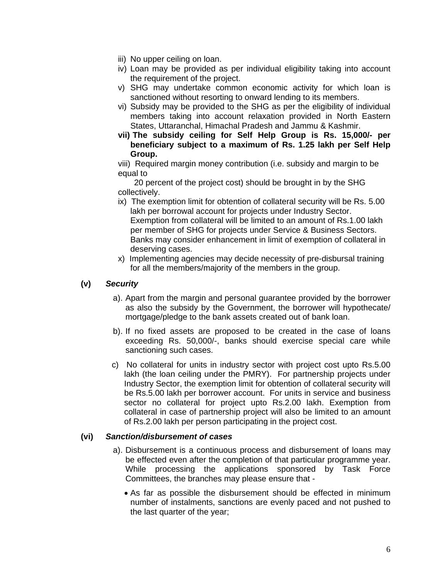- iii) No upper ceiling on loan.
- iv) Loan may be provided as per individual eligibility taking into account the requirement of the project.
- v) SHG may undertake common economic activity for which loan is sanctioned without resorting to onward lending to its members.
- vi) Subsidy may be provided to the SHG as per the eligibility of individual members taking into account relaxation provided in North Eastern States, Uttaranchal, Himachal Pradesh and Jammu & Kashmir.
- **vii) The subsidy ceiling for Self Help Group is Rs. 15,000/- per beneficiary subject to a maximum of Rs. 1.25 lakh per Self Help Group.**

viii) Required margin money contribution (i.e. subsidy and margin to be equal to

 20 percent of the project cost) should be brought in by the SHG collectively.

- ix) The exemption limit for obtention of collateral security will be Rs. 5.00 lakh per borrowal account for projects under Industry Sector. Exemption from collateral will be limited to an amount of Rs.1.00 lakh per member of SHG for projects under Service & Business Sectors. Banks may consider enhancement in limit of exemption of collateral in deserving cases.
- x) Implementing agencies may decide necessity of pre-disbursal training for all the members/majority of the members in the group.

## **(v)** *Security*

- a). Apart from the margin and personal guarantee provided by the borrower as also the subsidy by the Government, the borrower will hypothecate/ mortgage/pledge to the bank assets created out of bank loan.
- b). If no fixed assets are proposed to be created in the case of loans exceeding Rs. 50,000/-, banks should exercise special care while sanctioning such cases.
- c) No collateral for units in industry sector with project cost upto Rs.5.00 lakh (the loan ceiling under the PMRY). For partnership projects under Industry Sector, the exemption limit for obtention of collateral security will be Rs.5.00 lakh per borrower account. For units in service and business sector no collateral for project upto Rs.2.00 lakh. Exemption from collateral in case of partnership project will also be limited to an amount of Rs.2.00 lakh per person participating in the project cost.

## **(vi)** *Sanction/disbursement of cases*

- a). Disbursement is a continuous process and disbursement of loans may be effected even after the completion of that particular programme year. While processing the applications sponsored by Task Force Committees, the branches may please ensure that -
	- As far as possible the disbursement should be effected in minimum number of instalments, sanctions are evenly paced and not pushed to the last quarter of the year;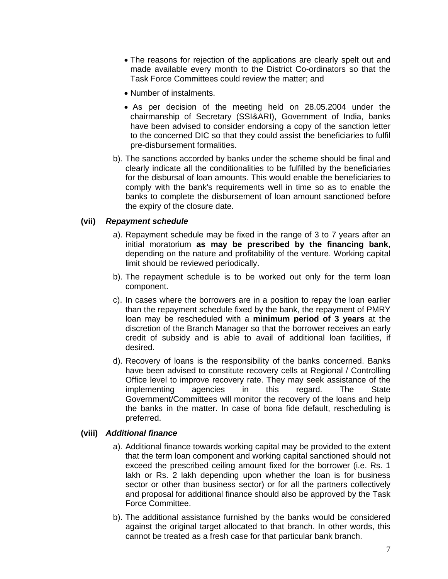- The reasons for rejection of the applications are clearly spelt out and made available every month to the District Co-ordinators so that the Task Force Committees could review the matter; and
- Number of instalments.
- As per decision of the meeting held on 28.05.2004 under the chairmanship of Secretary (SSI&ARI), Government of India, banks have been advised to consider endorsing a copy of the sanction letter to the concerned DIC so that they could assist the beneficiaries to fulfil pre-disbursement formalities.
- b). The sanctions accorded by banks under the scheme should be final and clearly indicate all the conditionalities to be fulfilled by the beneficiaries for the disbursal of loan amounts. This would enable the beneficiaries to comply with the bank's requirements well in time so as to enable the banks to complete the disbursement of loan amount sanctioned before the expiry of the closure date.

### **(vii)** *Repayment schedule*

- a). Repayment schedule may be fixed in the range of 3 to 7 years after an initial moratorium **as may be prescribed by the financing bank**, depending on the nature and profitability of the venture. Working capital limit should be reviewed periodically.
- b). The repayment schedule is to be worked out only for the term loan component.
- c). In cases where the borrowers are in a position to repay the loan earlier than the repayment schedule fixed by the bank, the repayment of PMRY loan may be rescheduled with a **minimum period of 3 years** at the discretion of the Branch Manager so that the borrower receives an early credit of subsidy and is able to avail of additional loan facilities, if desired.
- d). Recovery of loans is the responsibility of the banks concerned. Banks have been advised to constitute recovery cells at Regional / Controlling Office level to improve recovery rate. They may seek assistance of the implementing agencies in this regard. The State Government/Committees will monitor the recovery of the loans and help the banks in the matter. In case of bona fide default, rescheduling is preferred.

### **(viii)** *Additional finance*

- a). Additional finance towards working capital may be provided to the extent that the term loan component and working capital sanctioned should not exceed the prescribed ceiling amount fixed for the borrower (i.e. Rs. 1 lakh or Rs. 2 lakh depending upon whether the loan is for business sector or other than business sector) or for all the partners collectively and proposal for additional finance should also be approved by the Task Force Committee.
- b). The additional assistance furnished by the banks would be considered against the original target allocated to that branch. In other words, this cannot be treated as a fresh case for that particular bank branch.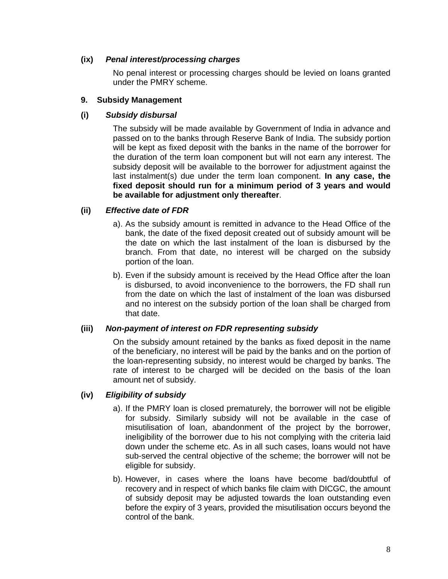## **(ix)** *Penal interest/processing charges*

No penal interest or processing charges should be levied on loans granted under the PMRY scheme.

### **9. Subsidy Management**

## **(i)** *Subsidy disbursal*

The subsidy will be made available by Government of India in advance and passed on to the banks through Reserve Bank of India. The subsidy portion will be kept as fixed deposit with the banks in the name of the borrower for the duration of the term loan component but will not earn any interest. The subsidy deposit will be available to the borrower for adjustment against the last instalment(s) due under the term loan component. **In any case, the fixed deposit should run for a minimum period of 3 years and would be available for adjustment only thereafter**.

## **(ii)** *Effective date of FDR*

- a). As the subsidy amount is remitted in advance to the Head Office of the bank, the date of the fixed deposit created out of subsidy amount will be the date on which the last instalment of the loan is disbursed by the branch. From that date, no interest will be charged on the subsidy portion of the loan.
- b). Even if the subsidy amount is received by the Head Office after the loan is disbursed, to avoid inconvenience to the borrowers, the FD shall run from the date on which the last of instalment of the loan was disbursed and no interest on the subsidy portion of the loan shall be charged from that date.

## **(iii)** *Non-payment of interest on FDR representing subsidy*

On the subsidy amount retained by the banks as fixed deposit in the name of the beneficiary, no interest will be paid by the banks and on the portion of the loan-representing subsidy, no interest would be charged by banks. The rate of interest to be charged will be decided on the basis of the loan amount net of subsidy.

## **(iv)** *Eligibility of subsidy*

- a). If the PMRY loan is closed prematurely, the borrower will not be eligible for subsidy. Similarly subsidy will not be available in the case of misutilisation of loan, abandonment of the project by the borrower, ineligibility of the borrower due to his not complying with the criteria laid down under the scheme etc. As in all such cases, loans would not have sub-served the central objective of the scheme; the borrower will not be eligible for subsidy.
- b). However, in cases where the loans have become bad/doubtful of recovery and in respect of which banks file claim with DICGC, the amount of subsidy deposit may be adjusted towards the loan outstanding even before the expiry of 3 years, provided the misutilisation occurs beyond the control of the bank.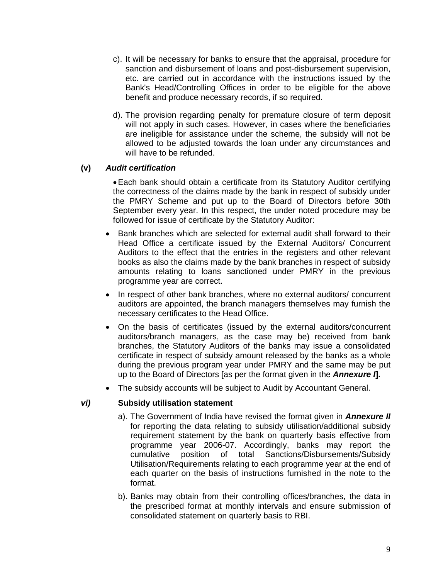- c). It will be necessary for banks to ensure that the appraisal, procedure for sanction and disbursement of loans and post-disbursement supervision, etc. are carried out in accordance with the instructions issued by the Bank's Head/Controlling Offices in order to be eligible for the above benefit and produce necessary records, if so required.
- d). The provision regarding penalty for premature closure of term deposit will not apply in such cases. However, in cases where the beneficiaries are ineligible for assistance under the scheme, the subsidy will not be allowed to be adjusted towards the loan under any circumstances and will have to be refunded.

### **(v)** *Audit certification*

• Each bank should obtain a certificate from its Statutory Auditor certifying the correctness of the claims made by the bank in respect of subsidy under the PMRY Scheme and put up to the Board of Directors before 30th September every year. In this respect, the under noted procedure may be followed for issue of certificate by the Statutory Auditor:

- Bank branches which are selected for external audit shall forward to their Head Office a certificate issued by the External Auditors/ Concurrent Auditors to the effect that the entries in the registers and other relevant books as also the claims made by the bank branches in respect of subsidy amounts relating to loans sanctioned under PMRY in the previous programme year are correct.
- In respect of other bank branches, where no external auditors/ concurrent auditors are appointed, the branch managers themselves may furnish the necessary certificates to the Head Office.
- On the basis of certificates (issued by the external auditors/concurrent auditors/branch managers, as the case may be) received from bank branches, the Statutory Auditors of the banks may issue a consolidated certificate in respect of subsidy amount released by the banks as a whole during the previous program year under PMRY and the same may be put up to the Board of Directors [as per the format given in the *Annexure I***].**
- The subsidy accounts will be subject to Audit by Accountant General.

### *vi)* **Subsidy utilisation statement**

- a). The Government of India have revised the format given in *Annexure II* for reporting the data relating to subsidy utilisation/additional subsidy requirement statement by the bank on quarterly basis effective from programme year 2006-07. Accordingly, banks may report the cumulative position of total Sanctions/Disbursements/Subsidy Utilisation/Requirements relating to each programme year at the end of each quarter on the basis of instructions furnished in the note to the format.
- b). Banks may obtain from their controlling offices/branches, the data in the prescribed format at monthly intervals and ensure submission of consolidated statement on quarterly basis to RBI.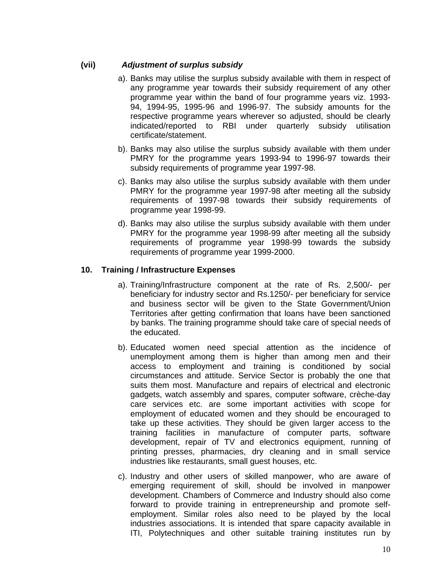## **(vii)** *Adjustment of surplus subsidy*

- a). Banks may utilise the surplus subsidy available with them in respect of any programme year towards their subsidy requirement of any other programme year within the band of four programme years viz. 1993- 94, 1994-95, 1995-96 and 1996-97. The subsidy amounts for the respective programme years wherever so adjusted, should be clearly indicated/reported to RBI under quarterly subsidy utilisation certificate/statement.
- b). Banks may also utilise the surplus subsidy available with them under PMRY for the programme years 1993-94 to 1996-97 towards their subsidy requirements of programme year 1997-98.
- c). Banks may also utilise the surplus subsidy available with them under PMRY for the programme year 1997-98 after meeting all the subsidy requirements of 1997-98 towards their subsidy requirements of programme year 1998-99.
- d). Banks may also utilise the surplus subsidy available with them under PMRY for the programme year 1998-99 after meeting all the subsidy requirements of programme year 1998-99 towards the subsidy requirements of programme year 1999-2000.

## **10. Training / Infrastructure Expenses**

- a). Training/Infrastructure component at the rate of Rs. 2,500/- per beneficiary for industry sector and Rs.1250/- per beneficiary for service and business sector will be given to the State Government/Union Territories after getting confirmation that loans have been sanctioned by banks. The training programme should take care of special needs of the educated.
- b). Educated women need special attention as the incidence of unemployment among them is higher than among men and their access to employment and training is conditioned by social circumstances and attitude. Service Sector is probably the one that suits them most. Manufacture and repairs of electrical and electronic gadgets, watch assembly and spares, computer software, crèche-day care services etc. are some important activities with scope for employment of educated women and they should be encouraged to take up these activities. They should be given larger access to the training facilities in manufacture of computer parts, software development, repair of TV and electronics equipment, running of printing presses, pharmacies, dry cleaning and in small service industries like restaurants, small guest houses, etc.
- c). Industry and other users of skilled manpower, who are aware of emerging requirement of skill, should be involved in manpower development. Chambers of Commerce and Industry should also come forward to provide training in entrepreneurship and promote selfemployment. Similar roles also need to be played by the local industries associations. It is intended that spare capacity available in ITI, Polytechniques and other suitable training institutes run by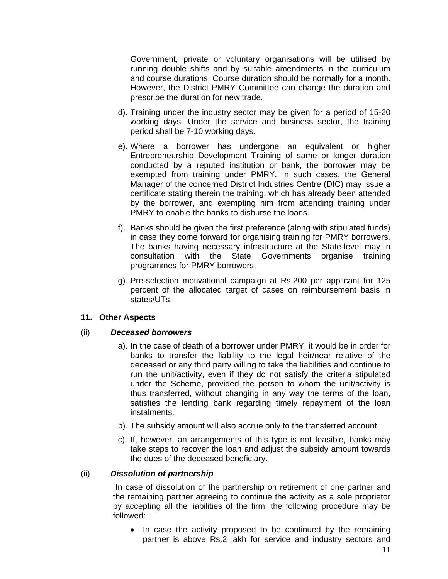Government, private or voluntary organisations will be utilised by running double shifts and by suitable amendments in the curriculum and course durations. Course duration should be normally for a month. However, the District PMRY Committee can change the duration and prescribe the duration for new trade.

- d). Training under the industry sector may be given for a period of 15-20 working days. Under the service and business sector, the training period shall be 7-10 working days.
- e). Where a borrower has undergone an equivalent or higher Entrepreneurship Development Training of same or longer duration conducted by a reputed institution or bank, the borrower may be exempted from training under PMRY. In such cases, the General Manager of the concerned District Industries Centre (DIC) may issue a certificate stating therein the training, which has already been attended by the borrower, and exempting him from attending training under PMRY to enable the banks to disburse the loans.
- f). Banks should be given the first preference (along with stipulated funds) in case they come forward for organising training for PMRY borrowers. The banks having necessary infrastructure at the State-level may in consultation with the State Governments organise training programmes for PMRY borrowers.
- g). Pre-selection motivational campaign at Rs.200 per applicant for 125 percent of the allocated target of cases on reimbursement basis in states/UTs.

### **11. Other Aspects**

## (ii) *Deceased borrowers*

- a). In the case of death of a borrower under PMRY, it would be in order for banks to transfer the liability to the legal heir/near relative of the deceased or any third party willing to take the liabilities and continue to run the unit/activity, even if they do not satisfy the criteria stipulated under the Scheme, provided the person to whom the unit/activity is thus transferred, without changing in any way the terms of the loan, satisfies the lending bank regarding timely repayment of the loan instalments.
- b). The subsidy amount will also accrue only to the transferred account.
- c). If, however, an arrangements of this type is not feasible, banks may take steps to recover the loan and adjust the subsidy amount towards the dues of the deceased beneficiary.

### (ii) *Dissolution of partnership*

 In case of dissolution of the partnership on retirement of one partner and the remaining partner agreeing to continue the activity as a sole proprietor by accepting all the liabilities of the firm, the following procedure may be followed:

• In case the activity proposed to be continued by the remaining partner is above Rs.2 lakh for service and industry sectors and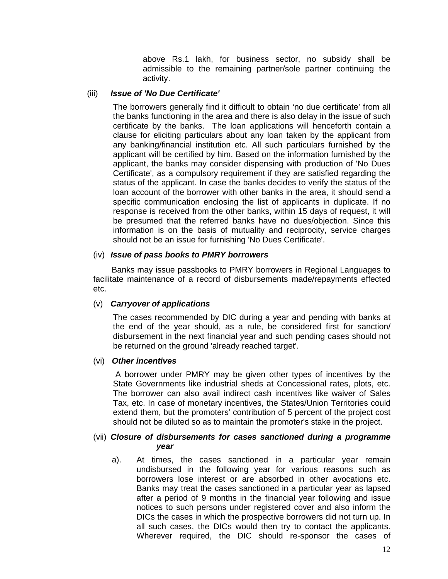above Rs.1 lakh, for business sector, no subsidy shall be admissible to the remaining partner/sole partner continuing the activity.

### (iii) *Issue of 'No Due Certificate'*

The borrowers generally find it difficult to obtain 'no due certificate' from all the banks functioning in the area and there is also delay in the issue of such certificate by the banks. The loan applications will henceforth contain a clause for eliciting particulars about any loan taken by the applicant from any banking/financial institution etc. All such particulars furnished by the applicant will be certified by him. Based on the information furnished by the applicant, the banks may consider dispensing with production of 'No Dues Certificate', as a compulsory requirement if they are satisfied regarding the status of the applicant. In case the banks decides to verify the status of the loan account of the borrower with other banks in the area, it should send a specific communication enclosing the list of applicants in duplicate. If no response is received from the other banks, within 15 days of request, it will be presumed that the referred banks have no dues/objection. Since this information is on the basis of mutuality and reciprocity, service charges should not be an issue for furnishing 'No Dues Certificate'.

### (iv) *Issue of pass books to PMRY borrowers*

Banks may issue passbooks to PMRY borrowers in Regional Languages to facilitate maintenance of a record of disbursements made/repayments effected etc.

### (v) *Carryover of applications*

The cases recommended by DIC during a year and pending with banks at the end of the year should, as a rule, be considered first for sanction/ disbursement in the next financial year and such pending cases should not be returned on the ground 'already reached target'.

### (vi) *Other incentives*

 A borrower under PMRY may be given other types of incentives by the State Governments like industrial sheds at Concessional rates, plots, etc. The borrower can also avail indirect cash incentives like waiver of Sales Tax, etc. In case of monetary incentives, the States/Union Territories could extend them, but the promoters' contribution of 5 percent of the project cost should not be diluted so as to maintain the promoter's stake in the project.

### (vii) *Closure of disbursements for cases sanctioned during a programme year*

a). At times, the cases sanctioned in a particular year remain undisbursed in the following year for various reasons such as borrowers lose interest or are absorbed in other avocations etc. Banks may treat the cases sanctioned in a particular year as lapsed after a period of 9 months in the financial year following and issue notices to such persons under registered cover and also inform the DICs the cases in which the prospective borrowers did not turn up. In all such cases, the DICs would then try to contact the applicants. Wherever required, the DIC should re-sponsor the cases of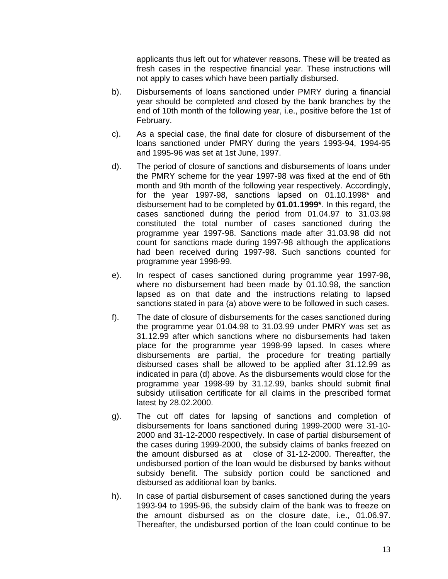applicants thus left out for whatever reasons. These will be treated as fresh cases in the respective financial year. These instructions will not apply to cases which have been partially disbursed.

- b). Disbursements of loans sanctioned under PMRY during a financial year should be completed and closed by the bank branches by the end of 10th month of the following year, i.e., positive before the 1st of February.
- c). As a special case, the final date for closure of disbursement of the loans sanctioned under PMRY during the years 1993-94, 1994-95 and 1995-96 was set at 1st June, 1997.
- d). The period of closure of sanctions and disbursements of loans under the PMRY scheme for the year 1997-98 was fixed at the end of 6th month and 9th month of the following year respectively. Accordingly, for the year 1997-98, sanctions lapsed on 01.10.1998\* and disbursement had to be completed by **01.01.1999\***. In this regard, the cases sanctioned during the period from 01.04.97 to 31.03.98 constituted the total number of cases sanctioned during the programme year 1997-98. Sanctions made after 31.03.98 did not count for sanctions made during 1997-98 although the applications had been received during 1997-98. Such sanctions counted for programme year 1998-99.
- e). In respect of cases sanctioned during programme year 1997-98, where no disbursement had been made by 01.10.98, the sanction lapsed as on that date and the instructions relating to lapsed sanctions stated in para (a) above were to be followed in such cases.
- f). The date of closure of disbursements for the cases sanctioned during the programme year 01.04.98 to 31.03.99 under PMRY was set as 31.12.99 after which sanctions where no disbursements had taken place for the programme year 1998-99 lapsed. In cases where disbursements are partial, the procedure for treating partially disbursed cases shall be allowed to be applied after 31.12.99 as indicated in para (d) above. As the disbursements would close for the programme year 1998-99 by 31.12.99, banks should submit final subsidy utilisation certificate for all claims in the prescribed format latest by 28.02.2000.
- g). The cut off dates for lapsing of sanctions and completion of disbursements for loans sanctioned during 1999-2000 were 31-10- 2000 and 31-12-2000 respectively. In case of partial disbursement of the cases during 1999-2000, the subsidy claims of banks freezed on the amount disbursed as at close of 31-12-2000. Thereafter, the undisbursed portion of the loan would be disbursed by banks without subsidy benefit. The subsidy portion could be sanctioned and disbursed as additional loan by banks.
- h). In case of partial disbursement of cases sanctioned during the years 1993-94 to 1995-96, the subsidy claim of the bank was to freeze on the amount disbursed as on the closure date, i.e., 01.06.97. Thereafter, the undisbursed portion of the loan could continue to be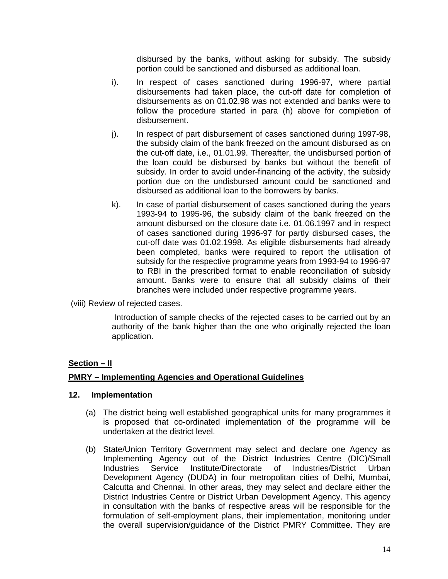disbursed by the banks, without asking for subsidy. The subsidy portion could be sanctioned and disbursed as additional loan.

- i). In respect of cases sanctioned during 1996-97, where partial disbursements had taken place, the cut-off date for completion of disbursements as on 01.02.98 was not extended and banks were to follow the procedure started in para (h) above for completion of disbursement.
- j). In respect of part disbursement of cases sanctioned during 1997-98, the subsidy claim of the bank freezed on the amount disbursed as on the cut-off date, i.e., 01.01.99. Thereafter, the undisbursed portion of the loan could be disbursed by banks but without the benefit of subsidy. In order to avoid under-financing of the activity, the subsidy portion due on the undisbursed amount could be sanctioned and disbursed as additional loan to the borrowers by banks.
- k). In case of partial disbursement of cases sanctioned during the years 1993-94 to 1995-96, the subsidy claim of the bank freezed on the amount disbursed on the closure date i.e. 01.06.1997 and in respect of cases sanctioned during 1996-97 for partly disbursed cases, the cut-off date was 01.02.1998. As eligible disbursements had already been completed, banks were required to report the utilisation of subsidy for the respective programme years from 1993-94 to 1996-97 to RBI in the prescribed format to enable reconciliation of subsidy amount. Banks were to ensure that all subsidy claims of their branches were included under respective programme years.

(viii) Review of rejected cases.

 Introduction of sample checks of the rejected cases to be carried out by an authority of the bank higher than the one who originally rejected the loan application.

### **Section – II**

#### **PMRY – Implementing Agencies and Operational Guidelines**

#### **12. Implementation**

- (a) The district being well established geographical units for many programmes it is proposed that co-ordinated implementation of the programme will be undertaken at the district level.
- (b) State/Union Territory Government may select and declare one Agency as Implementing Agency out of the District Industries Centre (DIC)/Small Industries Service Institute/Directorate of Industries/District Urban Development Agency (DUDA) in four metropolitan cities of Delhi, Mumbai, Calcutta and Chennai. In other areas, they may select and declare either the District Industries Centre or District Urban Development Agency. This agency in consultation with the banks of respective areas will be responsible for the formulation of self-employment plans, their implementation, monitoring under the overall supervision/guidance of the District PMRY Committee. They are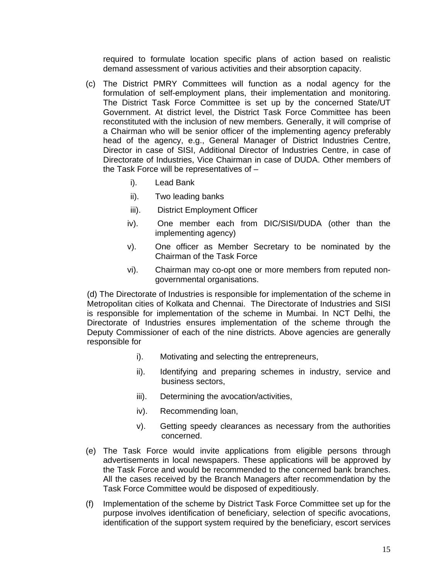required to formulate location specific plans of action based on realistic demand assessment of various activities and their absorption capacity.

- (c) The District PMRY Committees will function as a nodal agency for the formulation of self-employment plans, their implementation and monitoring. The District Task Force Committee is set up by the concerned State/UT Government. At district level, the District Task Force Committee has been reconstituted with the inclusion of new members. Generally, it will comprise of a Chairman who will be senior officer of the implementing agency preferably head of the agency, e.g., General Manager of District Industries Centre, Director in case of SISI, Additional Director of Industries Centre, in case of Directorate of Industries, Vice Chairman in case of DUDA. Other members of the Task Force will be representatives of –
	- i). Lead Bank
	- ii). Two leading banks
	- iii). District Employment Officer
	- iv). One member each from DIC/SISI/DUDA (other than the implementing agency)
	- v). One officer as Member Secretary to be nominated by the Chairman of the Task Force
	- vi). Chairman may co-opt one or more members from reputed nongovernmental organisations.

(d) The Directorate of Industries is responsible for implementation of the scheme in Metropolitan cities of Kolkata and Chennai. The Directorate of Industries and SISI is responsible for implementation of the scheme in Mumbai. In NCT Delhi, the Directorate of Industries ensures implementation of the scheme through the Deputy Commissioner of each of the nine districts. Above agencies are generally responsible for

- i). Motivating and selecting the entrepreneurs,
- ii). Identifying and preparing schemes in industry, service and business sectors,
- iii). Determining the avocation/activities,
- iv). Recommending loan,
- v). Getting speedy clearances as necessary from the authorities concerned.
- (e) The Task Force would invite applications from eligible persons through advertisements in local newspapers. These applications will be approved by the Task Force and would be recommended to the concerned bank branches. All the cases received by the Branch Managers after recommendation by the Task Force Committee would be disposed of expeditiously.
- (f) Implementation of the scheme by District Task Force Committee set up for the purpose involves identification of beneficiary, selection of specific avocations, identification of the support system required by the beneficiary, escort services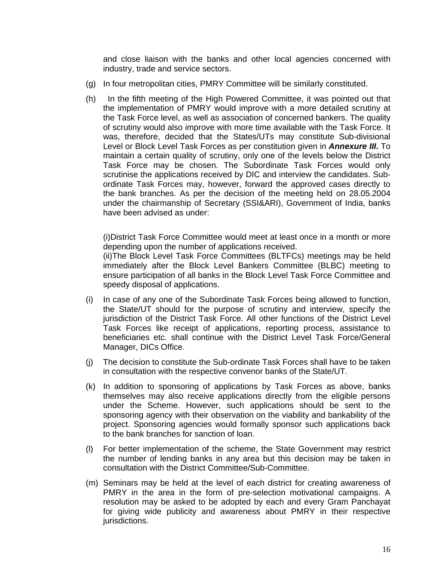and close liaison with the banks and other local agencies concerned with industry, trade and service sectors.

- (g) In four metropolitan cities, PMRY Committee will be similarly constituted.
- (h) In the fifth meeting of the High Powered Committee, it was pointed out that the implementation of PMRY would improve with a more detailed scrutiny at the Task Force level, as well as association of concerned bankers. The quality of scrutiny would also improve with more time available with the Task Force. It was, therefore, decided that the States/UTs may constitute Sub-divisional Level or Block Level Task Forces as per constitution given in *Annexure III***.** To maintain a certain quality of scrutiny, only one of the levels below the District Task Force may be chosen. The Subordinate Task Forces would only scrutinise the applications received by DIC and interview the candidates. Subordinate Task Forces may, however, forward the approved cases directly to the bank branches. As per the decision of the meeting held on 28.05.2004 under the chairmanship of Secretary (SSI&ARI), Government of India, banks have been advised as under:

(i)District Task Force Committee would meet at least once in a month or more depending upon the number of applications received.

(ii)The Block Level Task Force Committees (BLTFCs) meetings may be held immediately after the Block Level Bankers Committee (BLBC) meeting to ensure participation of all banks in the Block Level Task Force Committee and speedy disposal of applications.

- (i) In case of any one of the Subordinate Task Forces being allowed to function, the State/UT should for the purpose of scrutiny and interview, specify the jurisdiction of the District Task Force. All other functions of the District Level Task Forces like receipt of applications, reporting process, assistance to beneficiaries etc. shall continue with the District Level Task Force/General Manager, DICs Office.
- (j) The decision to constitute the Sub-ordinate Task Forces shall have to be taken in consultation with the respective convenor banks of the State/UT.
- (k) In addition to sponsoring of applications by Task Forces as above, banks themselves may also receive applications directly from the eligible persons under the Scheme. However, such applications should be sent to the sponsoring agency with their observation on the viability and bankability of the project. Sponsoring agencies would formally sponsor such applications back to the bank branches for sanction of loan.
- (l) For better implementation of the scheme, the State Government may restrict the number of lending banks in any area but this decision may be taken in consultation with the District Committee/Sub-Committee.
- (m) Seminars may be held at the level of each district for creating awareness of PMRY in the area in the form of pre-selection motivational campaigns. A resolution may be asked to be adopted by each and every Gram Panchayat for giving wide publicity and awareness about PMRY in their respective jurisdictions.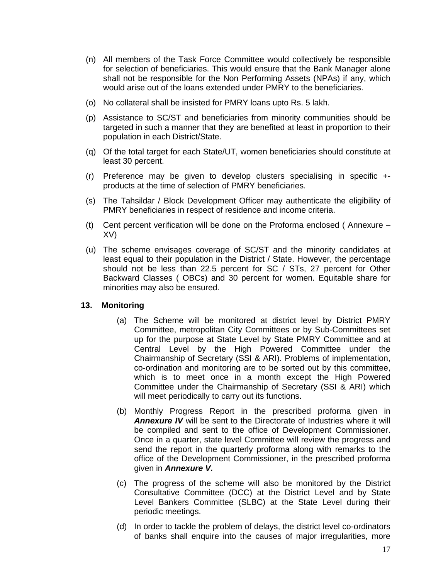- (n) All members of the Task Force Committee would collectively be responsible for selection of beneficiaries. This would ensure that the Bank Manager alone shall not be responsible for the Non Performing Assets (NPAs) if any, which would arise out of the loans extended under PMRY to the beneficiaries.
- (o) No collateral shall be insisted for PMRY loans upto Rs. 5 lakh.
- (p) Assistance to SC/ST and beneficiaries from minority communities should be targeted in such a manner that they are benefited at least in proportion to their population in each District/State.
- (q) Of the total target for each State/UT, women beneficiaries should constitute at least 30 percent.
- (r) Preference may be given to develop clusters specialising in specific + products at the time of selection of PMRY beneficiaries.
- (s) The Tahsildar / Block Development Officer may authenticate the eligibility of PMRY beneficiaries in respect of residence and income criteria.
- (t) Cent percent verification will be done on the Proforma enclosed ( Annexure XV)
- (u) The scheme envisages coverage of SC/ST and the minority candidates at least equal to their population in the District / State. However, the percentage should not be less than 22.5 percent for SC / STs, 27 percent for Other Backward Classes ( OBCs) and 30 percent for women. Equitable share for minorities may also be ensured.

### **13. Monitoring**

- (a) The Scheme will be monitored at district level by District PMRY Committee, metropolitan City Committees or by Sub-Committees set up for the purpose at State Level by State PMRY Committee and at Central Level by the High Powered Committee under the Chairmanship of Secretary (SSI & ARI). Problems of implementation, co-ordination and monitoring are to be sorted out by this committee, which is to meet once in a month except the High Powered Committee under the Chairmanship of Secretary (SSI & ARI) which will meet periodically to carry out its functions.
- (b) Monthly Progress Report in the prescribed proforma given in *Annexure IV* will be sent to the Directorate of Industries where it will be compiled and sent to the office of Development Commissioner. Once in a quarter, state level Committee will review the progress and send the report in the quarterly proforma along with remarks to the office of the Development Commissioner, in the prescribed proforma given in *Annexure V.*
- (c) The progress of the scheme will also be monitored by the District Consultative Committee (DCC) at the District Level and by State Level Bankers Committee (SLBC) at the State Level during their periodic meetings.
- (d) In order to tackle the problem of delays, the district level co-ordinators of banks shall enquire into the causes of major irregularities, more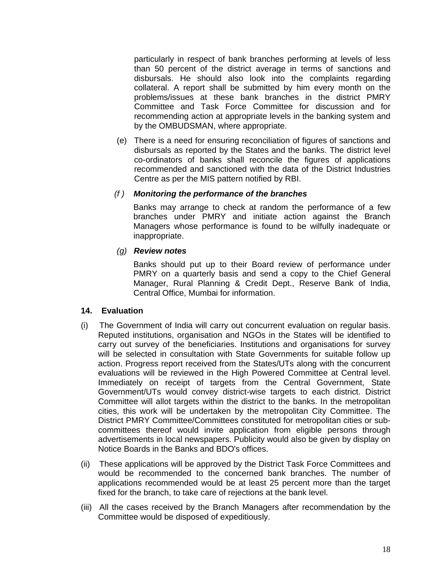particularly in respect of bank branches performing at levels of less than 50 percent of the district average in terms of sanctions and disbursals. He should also look into the complaints regarding collateral. A report shall be submitted by him every month on the problems/issues at these bank branches in the district PMRY Committee and Task Force Committee for discussion and for recommending action at appropriate levels in the banking system and by the OMBUDSMAN, where appropriate.

(e) There is a need for ensuring reconciliation of figures of sanctions and disbursals as reported by the States and the banks. The district level co-ordinators of banks shall reconcile the figures of applications recommended and sanctioned with the data of the District Industries Centre as per the MIS pattern notified by RBI.

#### *(f ) Monitoring the performance of the branches*

Banks may arrange to check at random the performance of a few branches under PMRY and initiate action against the Branch Managers whose performance is found to be wilfully inadequate or inappropriate.

#### *(g) Review notes*

Banks should put up to their Board review of performance under PMRY on a quarterly basis and send a copy to the Chief General Manager, Rural Planning & Credit Dept., Reserve Bank of India, Central Office, Mumbai for information.

### **14. Evaluation**

- (i) The Government of India will carry out concurrent evaluation on regular basis. Reputed institutions, organisation and NGOs in the States will be identified to carry out survey of the beneficiaries. Institutions and organisations for survey will be selected in consultation with State Governments for suitable follow up action. Progress report received from the States/UTs along with the concurrent evaluations will be reviewed in the High Powered Committee at Central level. Immediately on receipt of targets from the Central Government, State Government/UTs would convey district-wise targets to each district. District Committee will allot targets within the district to the banks. In the metropolitan cities, this work will be undertaken by the metropolitan City Committee. The District PMRY Committee/Committees constituted for metropolitan cities or subcommittees thereof would invite application from eligible persons through advertisements in local newspapers. Publicity would also be given by display on Notice Boards in the Banks and BDO's offices.
- (ii) These applications will be approved by the District Task Force Committees and would be recommended to the concerned bank branches. The number of applications recommended would be at least 25 percent more than the target fixed for the branch, to take care of rejections at the bank level.
- (iii) All the cases received by the Branch Managers after recommendation by the Committee would be disposed of expeditiously.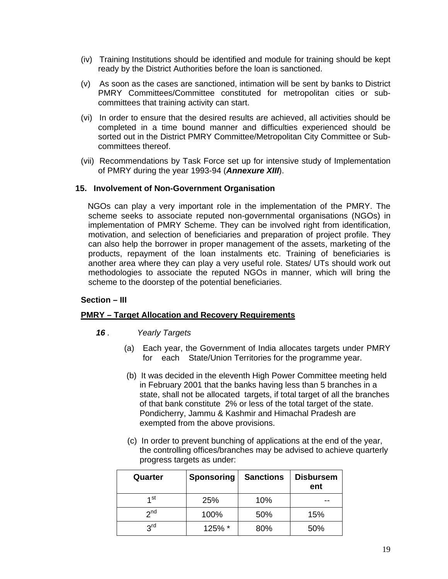- (iv) Training Institutions should be identified and module for training should be kept ready by the District Authorities before the loan is sanctioned.
- (v) As soon as the cases are sanctioned, intimation will be sent by banks to District PMRY Committees/Committee constituted for metropolitan cities or subcommittees that training activity can start.
- (vi) In order to ensure that the desired results are achieved, all activities should be completed in a time bound manner and difficulties experienced should be sorted out in the District PMRY Committee/Metropolitan City Committee or Subcommittees thereof.
- (vii) Recommendations by Task Force set up for intensive study of Implementation of PMRY during the year 1993-94 (*Annexure XIII*).

### **15. Involvement of Non-Government Organisation**

 NGOs can play a very important role in the implementation of the PMRY. The scheme seeks to associate reputed non-governmental organisations (NGOs) in implementation of PMRY Scheme. They can be involved right from identification, motivation, and selection of beneficiaries and preparation of project profile. They can also help the borrower in proper management of the assets, marketing of the products, repayment of the loan instalments etc. Training of beneficiaries is another area where they can play a very useful role. States/ UTs should work out methodologies to associate the reputed NGOs in manner, which will bring the scheme to the doorstep of the potential beneficiaries.

### **Section – III**

### **PMRY – Target Allocation and Recovery Requirements**

- *16 . Yearly Targets*
	- (a) Each year, the Government of India allocates targets under PMRY for each State/Union Territories for the programme year.
	- (b) It was decided in the eleventh High Power Committee meeting held in February 2001 that the banks having less than 5 branches in a state, shall not be allocated targets, if total target of all the branches of that bank constitute 2% or less of the total target of the state. Pondicherry, Jammu & Kashmir and Himachal Pradesh are exempted from the above provisions.
	- (c) In order to prevent bunching of applications at the end of the year, the controlling offices/branches may be advised to achieve quarterly progress targets as under:

| Quarter         | <b>Sponsoring</b> | <b>Sanctions</b> | <b>Disbursem</b><br>ent |
|-----------------|-------------------|------------------|-------------------------|
| ⊿st             | 25%               | 10%              |                         |
| 2 <sub>nd</sub> | 100%              | 50%              | 15%                     |
| <b>2rd</b>      | 125% *            | 80%              | 50%                     |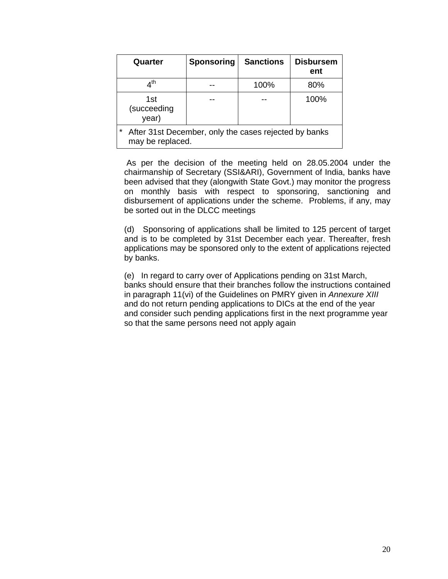| Quarter                                                                              | <b>Sponsoring</b> | <b>Sanctions</b> | <b>Disbursem</b><br>ent |  |  |  |  |  |  |  |
|--------------------------------------------------------------------------------------|-------------------|------------------|-------------------------|--|--|--|--|--|--|--|
| $\mathcal{A}^{\mathsf{th}}$                                                          |                   | 100%             | 80%                     |  |  |  |  |  |  |  |
| 1st<br>(succeeding<br>year)                                                          |                   |                  | 100%                    |  |  |  |  |  |  |  |
| $\star$<br>After 31st December, only the cases rejected by banks<br>may be replaced. |                   |                  |                         |  |  |  |  |  |  |  |

 As per the decision of the meeting held on 28.05.2004 under the chairmanship of Secretary (SSI&ARI), Government of India, banks have been advised that they (alongwith State Govt.) may monitor the progress on monthly basis with respect to sponsoring, sanctioning and disbursement of applications under the scheme. Problems, if any, may be sorted out in the DLCC meetings

(d) Sponsoring of applications shall be limited to 125 percent of target and is to be completed by 31st December each year. Thereafter, fresh applications may be sponsored only to the extent of applications rejected by banks.

(e) In regard to carry over of Applications pending on 31st March, banks should ensure that their branches follow the instructions contained in paragraph 11(vi) of the Guidelines on PMRY given in *Annexure XIII* and do not return pending applications to DICs at the end of the year and consider such pending applications first in the next programme year so that the same persons need not apply again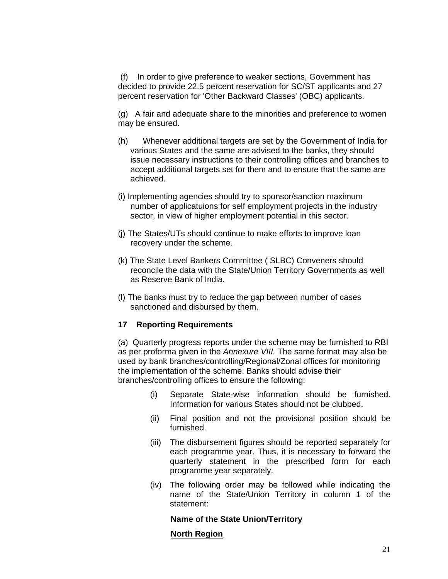(f) In order to give preference to weaker sections, Government has decided to provide 22.5 percent reservation for SC/ST applicants and 27 percent reservation for 'Other Backward Classes' (OBC) applicants.

(g) A fair and adequate share to the minorities and preference to women may be ensured.

- (h) Whenever additional targets are set by the Government of India for various States and the same are advised to the banks, they should issue necessary instructions to their controlling offices and branches to accept additional targets set for them and to ensure that the same are achieved.
- (i) Implementing agencies should try to sponsor/sanction maximum number of applicatuions for self employment projects in the industry sector, in view of higher employment potential in this sector.
- (j) The States/UTs should continue to make efforts to improve loan recovery under the scheme.
- (k) The State Level Bankers Committee ( SLBC) Conveners should reconcile the data with the State/Union Territory Governments as well as Reserve Bank of India.
- (l) The banks must try to reduce the gap between number of cases sanctioned and disbursed by them.

### **17 Reporting Requirements**

(a) Quarterly progress reports under the scheme may be furnished to RBI as per proforma given in the *Annexure VIII.* The same format may also be used by bank branches/controlling/Regional/Zonal offices for monitoring the implementation of the scheme. Banks should advise their branches/controlling offices to ensure the following:

- (i) Separate State-wise information should be furnished. Information for various States should not be clubbed.
- (ii) Final position and not the provisional position should be furnished.
- (iii) The disbursement figures should be reported separately for each programme year. Thus, it is necessary to forward the quarterly statement in the prescribed form for each programme year separately.
- (iv) The following order may be followed while indicating the name of the State/Union Territory in column 1 of the statement:

### **Name of the State Union/Territory**

### **North Region**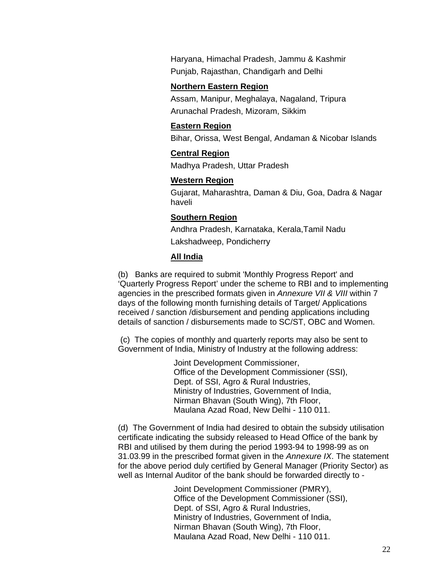Haryana, Himachal Pradesh, Jammu & Kashmir Punjab, Rajasthan, Chandigarh and Delhi

#### **Northern Eastern Region**

Assam, Manipur, Meghalaya, Nagaland, Tripura Arunachal Pradesh, Mizoram, Sikkim

#### **Eastern Region**

Bihar, Orissa, West Bengal, Andaman & Nicobar Islands

### **Central Region**

Madhya Pradesh, Uttar Pradesh

### **Western Region**

Gujarat, Maharashtra, Daman & Diu, Goa, Dadra & Nagar haveli

### **Southern Region**

Andhra Pradesh, Karnataka, Kerala,Tamil Nadu Lakshadweep, Pondicherry

### **All India**

(b) Banks are required to submit 'Monthly Progress Report' and 'Quarterly Progress Report' under the scheme to RBI and to implementing agencies in the prescribed formats given in *Annexure VII & VIII* within 7 days of the following month furnishing details of Target/ Applications received / sanction /disbursement and pending applications including details of sanction / disbursements made to SC/ST, OBC and Women.

 (c) The copies of monthly and quarterly reports may also be sent to Government of India, Ministry of Industry at the following address:

> Joint Development Commissioner, Office of the Development Commissioner (SSI), Dept. of SSI, Agro & Rural Industries, Ministry of Industries, Government of India, Nirman Bhavan (South Wing), 7th Floor, Maulana Azad Road, New Delhi - 110 011.

(d) The Government of India had desired to obtain the subsidy utilisation certificate indicating the subsidy released to Head Office of the bank by RBI and utilised by them during the period 1993-94 to 1998-99 as on 31.03.99 in the prescribed format given in the *Annexure IX*. The statement for the above period duly certified by General Manager (Priority Sector) as well as Internal Auditor of the bank should be forwarded directly to -

> Joint Development Commissioner (PMRY), Office of the Development Commissioner (SSI), Dept. of SSI, Agro & Rural Industries, Ministry of Industries, Government of India, Nirman Bhavan (South Wing), 7th Floor, Maulana Azad Road, New Delhi - 110 011.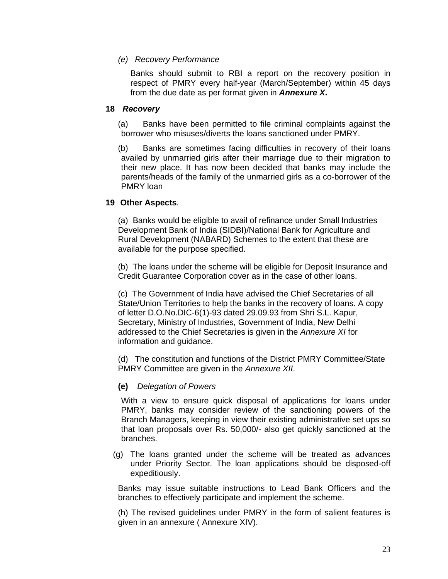## *(e) Recovery Performance*

Banks should submit to RBI a report on the recovery position in respect of PMRY every half-year (March/September) within 45 days from the due date as per format given in *Annexure X***.** 

### **18** *Recovery*

(a) Banks have been permitted to file criminal complaints against the borrower who misuses/diverts the loans sanctioned under PMRY.

(b) Banks are sometimes facing difficulties in recovery of their loans availed by unmarried girls after their marriage due to their migration to their new place. It has now been decided that banks may include the parents/heads of the family of the unmarried girls as a co-borrower of the PMRY loan

### **19 Other Aspects***.*

(a) Banks would be eligible to avail of refinance under Small Industries Development Bank of India (SIDBI)/National Bank for Agriculture and Rural Development (NABARD) Schemes to the extent that these are available for the purpose specified.

(b) The loans under the scheme will be eligible for Deposit Insurance and Credit Guarantee Corporation cover as in the case of other loans.

(c) The Government of India have advised the Chief Secretaries of all State/Union Territories to help the banks in the recovery of loans. A copy of letter D.O.No.DIC-6(1)-93 dated 29.09.93 from Shri S.L. Kapur, Secretary, Ministry of Industries, Government of India, New Delhi addressed to the Chief Secretaries is given in the *Annexure XI* for information and guidance.

(d) The constitution and functions of the District PMRY Committee/State PMRY Committee are given in the *Annexure XII*.

### **(e)** *Delegation of Powers*

With a view to ensure quick disposal of applications for loans under PMRY, banks may consider review of the sanctioning powers of the Branch Managers, keeping in view their existing administrative set ups so that loan proposals over Rs. 50,000/- also get quickly sanctioned at the branches.

(g) The loans granted under the scheme will be treated as advances under Priority Sector. The loan applications should be disposed-off expeditiously.

Banks may issue suitable instructions to Lead Bank Officers and the branches to effectively participate and implement the scheme.

(h) The revised guidelines under PMRY in the form of salient features is given in an annexure ( Annexure XIV).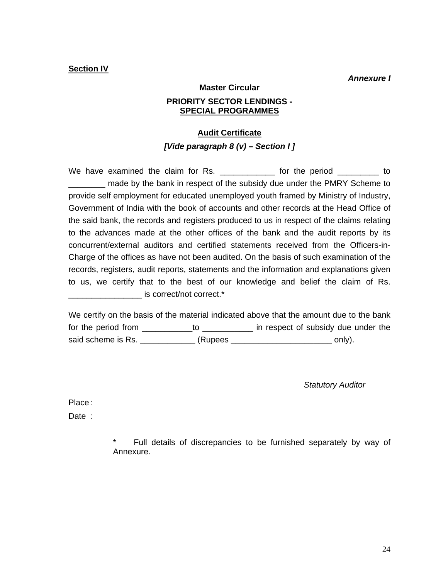### **Section IV**

 *Annexure I* 

**Master Circular** 

### **PRIORITY SECTOR LENDINGS - SPECIAL PROGRAMMES**

### **Audit Certificate**

### *[Vide paragraph 8 (v) – Section I ]*

We have examined the claim for Rs. The form the period and to \_\_\_\_\_\_\_\_ made by the bank in respect of the subsidy due under the PMRY Scheme to provide self employment for educated unemployed youth framed by Ministry of Industry, Government of India with the book of accounts and other records at the Head Office of the said bank, the records and registers produced to us in respect of the claims relating to the advances made at the other offices of the bank and the audit reports by its concurrent/external auditors and certified statements received from the Officers-in-Charge of the offices as have not been audited. On the basis of such examination of the records, registers, audit reports, statements and the information and explanations given to us, we certify that to the best of our knowledge and belief the claim of Rs.  $\blacksquare$  is correct/not correct.\*

We certify on the basis of the material indicated above that the amount due to the bank for the period from \_\_\_\_\_\_\_\_\_\_\_to \_\_\_\_\_\_\_\_\_\_\_ in respect of subsidy due under the said scheme is Rs. \_\_\_\_\_\_\_\_\_\_\_\_\_\_ (Rupees \_\_\_\_\_\_\_\_\_\_\_\_\_\_\_\_\_\_\_\_\_\_\_\_\_\_\_\_\_\_ only).

*Statutory Auditor* 

Place :

Date :

Full details of discrepancies to be furnished separately by way of Annexure.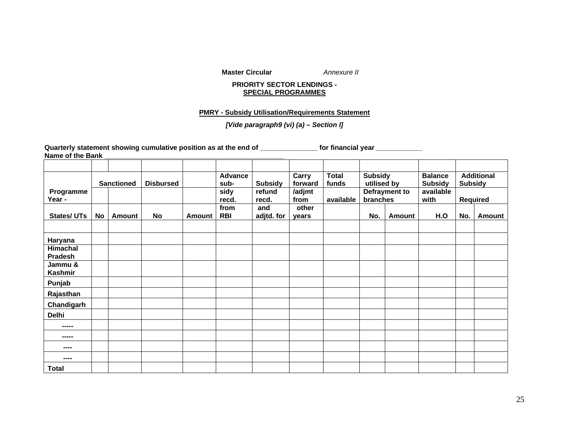**Master Circular** 

Annexure II

#### **PRIORITY SECTOR LENDINGS - SPECIAL PROGRAMMES**

#### **PMRY - Subsidy Utilisation/Requirements Statement**

### *[Vide paragraph9 (vi) (a) – Section I]*

Quarterly statement showing cumulative position as at the end of \_\_\_\_\_\_\_\_\_\_\_\_\_\_\_ for financial year \_\_\_\_\_\_\_\_\_\_ **Name of the Bank \_\_\_\_\_\_\_\_\_\_\_\_\_\_\_\_\_\_\_\_\_\_\_\_\_\_\_\_\_\_\_\_\_\_\_\_\_\_\_\_\_\_\_\_\_\_\_** 

|                     |    |                   |                  |        | <b>Advance</b> |                          | Carry          | <b>Total</b> | <b>Subsidy</b> |               | <b>Balance</b>              |                | <b>Additional</b> |
|---------------------|----|-------------------|------------------|--------|----------------|--------------------------|----------------|--------------|----------------|---------------|-----------------------------|----------------|-------------------|
|                     |    | <b>Sanctioned</b> | <b>Disbursed</b> |        | sub-           | <b>Subsidy</b><br>refund | forward        | funds        | utilised by    |               | <b>Subsidy</b><br>available | <b>Subsidy</b> |                   |
| Programme<br>Year - |    |                   |                  |        | sidy<br>recd.  | recd.                    | /adjmt<br>from | available    | branches       | Defrayment to | with                        |                | Required          |
|                     |    |                   |                  |        | from           | and                      | other          |              |                |               |                             |                |                   |
| <b>States/UTs</b>   | No | <b>Amount</b>     | No               | Amount | <b>RBI</b>     | adjtd. for               | years          |              | No.            | <b>Amount</b> | H.O                         | No.            | Amount            |
|                     |    |                   |                  |        |                |                          |                |              |                |               |                             |                |                   |
| Haryana             |    |                   |                  |        |                |                          |                |              |                |               |                             |                |                   |
| Himachal<br>Pradesh |    |                   |                  |        |                |                          |                |              |                |               |                             |                |                   |
| Jammu &<br>Kashmir  |    |                   |                  |        |                |                          |                |              |                |               |                             |                |                   |
| Punjab              |    |                   |                  |        |                |                          |                |              |                |               |                             |                |                   |
| Rajasthan           |    |                   |                  |        |                |                          |                |              |                |               |                             |                |                   |
| Chandigarh          |    |                   |                  |        |                |                          |                |              |                |               |                             |                |                   |
| Delhi               |    |                   |                  |        |                |                          |                |              |                |               |                             |                |                   |
| -----               |    |                   |                  |        |                |                          |                |              |                |               |                             |                |                   |
| -----               |    |                   |                  |        |                |                          |                |              |                |               |                             |                |                   |
| ----                |    |                   |                  |        |                |                          |                |              |                |               |                             |                |                   |
| ----                |    |                   |                  |        |                |                          |                |              |                |               |                             |                |                   |
| <b>Total</b>        |    |                   |                  |        |                |                          |                |              |                |               |                             |                |                   |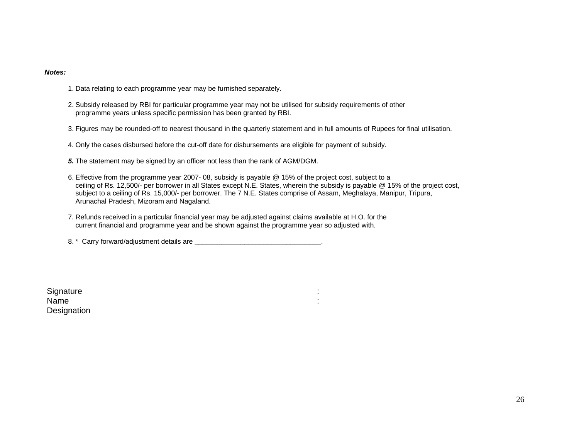#### *Notes:*

- 1. Data relating to each programme year may be furnished separately.
- 2. Subsidy released by RBI for particular programme year may not be utilised for subsidy requirements of other programme years unless specific permission has been granted by RBI.
- 3. Figures may be rounded-off to nearest thousand in the quarterly statement and in full amounts of Rupees for final utilisation.
- 4. Only the cases disbursed before the cut-off date for disbursements are eligible for payment of subsidy.
- *5.* The statement may be signed by an officer not less than the rank of AGM/DGM.
- 6. Effective from the programme year 2007- 08, subsidy is payable @ 15% of the project cost, subject to a ceiling of Rs. 12,500/- per borrower in all States except N.E. States, wherein the subsidy is payable @ 15% of the project cost, subject to a ceiling of Rs. 15,000/- per borrower. The 7 N.E. States comprise of Assam, Meghalaya, Manipur, Tripura, Arunachal Pradesh, Mizoram and Nagaland.
- 7. Refunds received in a particular financial year may be adjusted against claims available at H.O. for the current financial and programme year and be shown against the programme year so adjusted with.

8. \* Carry forward/adjustment details are \_\_\_\_\_\_\_\_\_\_\_\_\_\_\_\_\_\_\_\_\_\_\_\_\_\_\_\_\_\_\_\_\_.

Signature : the state of the state of the state of the state of the state of the state of the state of the state of the state of the state of the state of the state of the state of the state of the state of the state of th Name : the state of the state of the state of the state of the state of the state of the state of the state of the state of the state of the state of the state of the state of the state of the state of the state of the sta **Designation**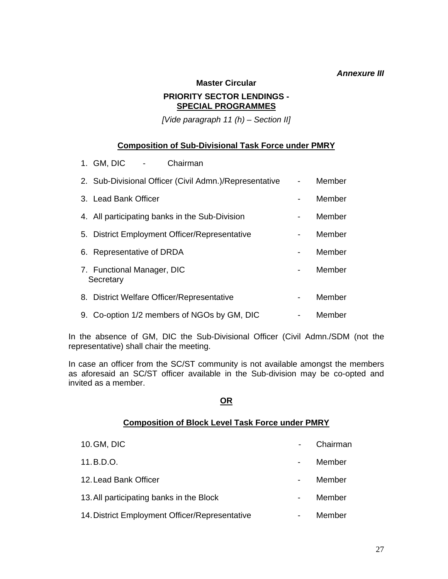## *Annexure III*

**Master Circular** 

## **PRIORITY SECTOR LENDINGS - SPECIAL PROGRAMMES**

*[Vide paragraph 11 (h) – Section II]* 

## **Composition of Sub-Divisional Task Force under PMRY**

| 1. GM, DIC<br>Chairman                                 |    |        |
|--------------------------------------------------------|----|--------|
| 2. Sub-Divisional Officer (Civil Admn.)/Representative | ÷, | Member |
| 3. Lead Bank Officer                                   |    | Member |
| 4. All participating banks in the Sub-Division         | ۰  | Member |
| 5. District Employment Officer/Representative          | -  | Member |
| 6. Representative of DRDA                              |    | Member |
| 7. Functional Manager, DIC<br>Secretary                |    | Member |
| 8. District Welfare Officer/Representative             |    | Member |
| 9. Co-option 1/2 members of NGOs by GM, DIC            |    | Member |

In the absence of GM, DIC the Sub-Divisional Officer (Civil Admn./SDM (not the representative) shall chair the meeting.

In case an officer from the SC/ST community is not available amongst the members as aforesaid an SC/ST officer available in the Sub-division may be co-opted and invited as a member.

## **OR**

## **Composition of Block Level Task Force under PMRY**

10. GM, DIC **Chairman** 11. B.D.O. **Multiple Contract Contract Contract Contract Contract Contract Contract Contract Contract Contract Contract Contract Contract Contract Contract Contract Contract Contract Contract Contract Contract Contract Con** 12. Lead Bank Officer **- Member** - Member 13. All participating banks in the Block **Fig. 12. All participating banks** in the Block 14. District Employment Officer/Representative **Face 14. District Employment Officer/Representative**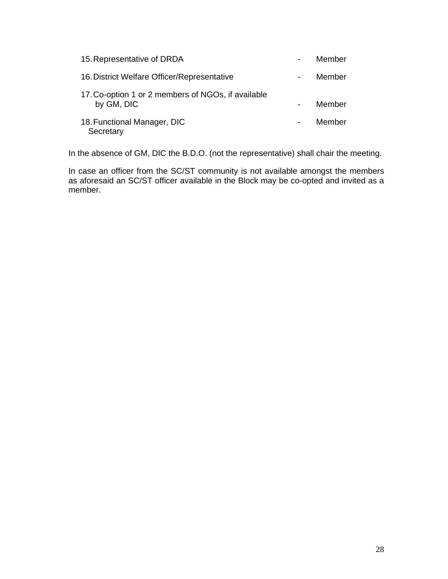| 15. Representative of DRDA                                       |                | Member |
|------------------------------------------------------------------|----------------|--------|
| 16. District Welfare Officer/Representative                      | $\blacksquare$ | Member |
| 17. Co-option 1 or 2 members of NGOs, if available<br>by GM, DIC |                | Member |
| 18. Functional Manager, DIC<br>Secretary                         | $\blacksquare$ | Member |

In the absence of GM, DIC the B.D.O. (not the representative) shall chair the meeting.

In case an officer from the SC/ST community is not available amongst the members as aforesaid an SC/ST officer available in the Block may be co-opted and invited as a member.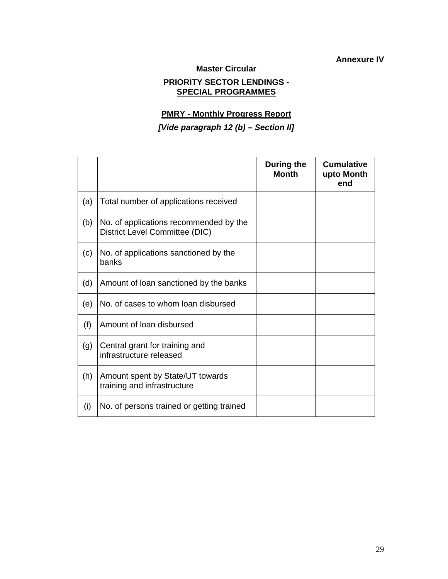**Annexure IV** 

**Master Circular** 

## **PRIORITY SECTOR LENDINGS - SPECIAL PROGRAMMES**

## **PMRY - Monthly Progress Report**

## *[Vide paragraph 12 (b) – Section II]*

|     |                                                                          | During the<br><b>Month</b> | <b>Cumulative</b><br>upto Month<br>end |
|-----|--------------------------------------------------------------------------|----------------------------|----------------------------------------|
| (a) | Total number of applications received                                    |                            |                                        |
| (b) | No. of applications recommended by the<br>District Level Committee (DIC) |                            |                                        |
| (c) | No. of applications sanctioned by the<br>banks                           |                            |                                        |
| (d) | Amount of loan sanctioned by the banks                                   |                            |                                        |
| (e) | No. of cases to whom loan disbursed                                      |                            |                                        |
| (f) | Amount of loan disbursed                                                 |                            |                                        |
| (g) | Central grant for training and<br>infrastructure released                |                            |                                        |
| (h) | Amount spent by State/UT towards<br>training and infrastructure          |                            |                                        |
| (i) | No. of persons trained or getting trained                                |                            |                                        |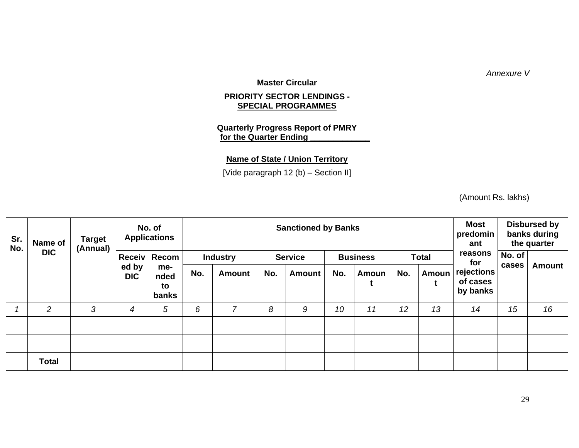*Annexure V* 

**Master Circular** 

### **PRIORITY SECTOR LENDINGS - SPECIAL PROGRAMMES**

## **Quarterly Progress Report of PMRY for the Quarter Ending**

## **Name of State / Union Territory**

[Vide paragraph 12 (b) – Section II]

(Amount Rs. lakhs)

| Sr.<br>No. | Name of        | <b>Target</b><br>(Annual) |                     | No. of<br><b>Applications</b> |     |                 |     | <b>Sanctioned by Banks</b> |     |                 |     |              | <b>Most</b><br>predomin<br>ant     |        | <b>Disbursed by</b><br>banks during<br>the quarter |
|------------|----------------|---------------------------|---------------------|-------------------------------|-----|-----------------|-----|----------------------------|-----|-----------------|-----|--------------|------------------------------------|--------|----------------------------------------------------|
|            | <b>DIC</b>     |                           |                     | Receiv Recom                  |     | <b>Industry</b> |     | <b>Service</b>             |     | <b>Business</b> |     | <b>Total</b> | reasons<br>for                     | No. of |                                                    |
|            |                |                           | ed by<br><b>DIC</b> | me-<br>nded<br>to<br>banks    | No. | Amount          | No. | <b>Amount</b>              | No. | Amoun           | No. | Amoun        | rejections<br>of cases<br>by banks | cases  | <b>Amount</b>                                      |
|            | $\overline{2}$ | 3                         | 4                   | 5                             | 6   | $\overline{7}$  | 8   | 9                          | 10  | 11              | 12  | 13           | 14                                 | 15     | 16                                                 |
|            |                |                           |                     |                               |     |                 |     |                            |     |                 |     |              |                                    |        |                                                    |
|            |                |                           |                     |                               |     |                 |     |                            |     |                 |     |              |                                    |        |                                                    |
|            | <b>Total</b>   |                           |                     |                               |     |                 |     |                            |     |                 |     |              |                                    |        |                                                    |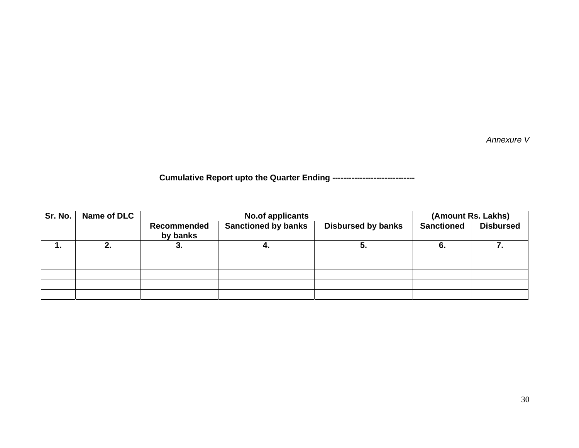*Annexure V* 

**Cumulative Report upto the Quarter Ending ------------------------------** 

| Sr. No. | Name of DLC |                         | <b>No.of applicants</b>    |                           | (Amount Rs. Lakhs) |                  |
|---------|-------------|-------------------------|----------------------------|---------------------------|--------------------|------------------|
|         |             | Recommended<br>by banks | <b>Sanctioned by banks</b> | <b>Disbursed by banks</b> | <b>Sanctioned</b>  | <b>Disbursed</b> |
|         | 2.          |                         | 4.                         |                           |                    |                  |
|         |             |                         |                            |                           |                    |                  |
|         |             |                         |                            |                           |                    |                  |
|         |             |                         |                            |                           |                    |                  |
|         |             |                         |                            |                           |                    |                  |
|         |             |                         |                            |                           |                    |                  |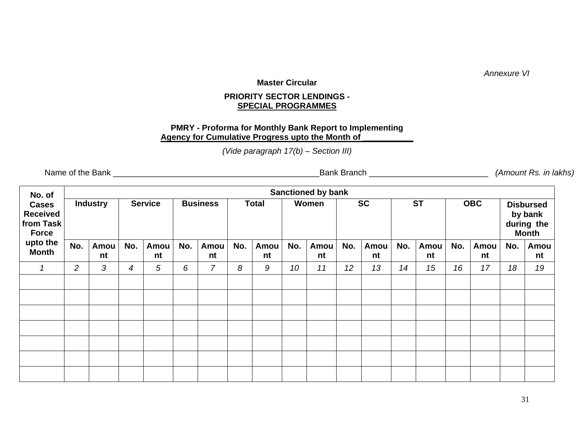*Annexure VI* 

#### **Master Circular**

## **PRIORITY SECTOR LENDINGS - SPECIAL PROGRAMMES**

## **PMRY - Proforma for Monthly Bank Report to Implementing Agency for Cumulative Progress upto the Month of \_\_\_\_\_\_\_\_\_\_\_**

*(Vide paragraph 17(b) – Section III)* 

Name of the Bank \_\_\_\_\_\_\_\_\_\_\_\_\_\_\_\_\_\_\_\_\_\_\_\_\_\_\_\_\_\_\_\_\_\_\_\_\_\_\_\_\_\_\_\_\_Bank Branch \_\_\_\_\_\_\_\_\_\_\_\_\_\_\_\_\_\_\_\_\_\_\_\_\_\_ *(Amount Rs. in lakhs)* 

| No. of                                                       |                |                 |     |                |     |                 |     |              |     | <b>Sanctioned by bank</b> |     |            |     |            |     |            |     |                                                           |
|--------------------------------------------------------------|----------------|-----------------|-----|----------------|-----|-----------------|-----|--------------|-----|---------------------------|-----|------------|-----|------------|-----|------------|-----|-----------------------------------------------------------|
| <b>Cases</b><br><b>Received</b><br>from Task<br><b>Force</b> |                | <b>Industry</b> |     | <b>Service</b> |     | <b>Business</b> |     | <b>Total</b> |     | Women                     |     | <b>SC</b>  |     | <b>ST</b>  |     | <b>OBC</b> |     | <b>Disbursed</b><br>by bank<br>during the<br><b>Month</b> |
| upto the<br><b>Month</b>                                     | No.            | Amou<br>nt      | No. | Amou<br>nt     | No. | Amou<br>nt      | No. | Amou<br>nt   | No. | Amou<br>nt                | No. | Amou<br>nt | No. | Amou<br>nt | No. | Amou<br>nt | No. | Amou<br>nt                                                |
| 1                                                            | $\overline{2}$ | 3               | 4   | 5              | 6   | $\overline{7}$  | 8   | 9            | 10  | 11                        | 12  | 13         | 14  | 15         | 16  | 17         | 18  | 19                                                        |
|                                                              |                |                 |     |                |     |                 |     |              |     |                           |     |            |     |            |     |            |     |                                                           |
|                                                              |                |                 |     |                |     |                 |     |              |     |                           |     |            |     |            |     |            |     |                                                           |
|                                                              |                |                 |     |                |     |                 |     |              |     |                           |     |            |     |            |     |            |     |                                                           |
|                                                              |                |                 |     |                |     |                 |     |              |     |                           |     |            |     |            |     |            |     |                                                           |
|                                                              |                |                 |     |                |     |                 |     |              |     |                           |     |            |     |            |     |            |     |                                                           |
|                                                              |                |                 |     |                |     |                 |     |              |     |                           |     |            |     |            |     |            |     |                                                           |
|                                                              |                |                 |     |                |     |                 |     |              |     |                           |     |            |     |            |     |            |     |                                                           |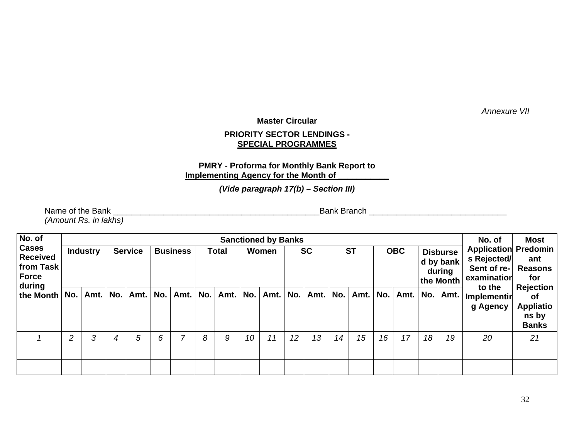*Annexure VII* 

## **Master Circular**

## **PRIORITY SECTOR LENDINGS - SPECIAL PROGRAMMES**

## **PMRY - Proforma for Monthly Bank Report to Implementing Agency for the Month of**

*(Vide paragraph 17(b) – Section III)* 

Name of the Bank \_\_\_\_\_\_\_\_\_\_\_\_\_\_\_\_\_\_\_\_\_\_\_\_\_\_\_\_\_\_\_\_\_\_\_\_\_\_\_\_\_\_\_\_\_Bank Branch \_\_\_\_\_\_\_\_\_\_\_\_\_\_\_\_\_\_\_\_\_\_\_\_\_\_\_\_\_\_ *(Amount Rs. in lakhs)* 

| No. of<br><b>Cases</b><br><b>Received</b><br>from Task<br>Force |                | <b>Industry</b> | <b>Service</b> |      | <b>Business</b> |      | Total |          | <b>Sanctioned by Banks</b><br>Women |      |     | <b>SC</b> |    | <b>ST</b>    | <b>OBC</b> |                          | <b>Disburse</b><br>d by bank<br>during<br>the Month |      | No. of<br><b>Application Predomin</b><br>s Rejected/<br>Sent of re-<br>examination | <b>Most</b><br>ant<br><b>Reasons</b><br>for<br><b>Rejection</b> |
|-----------------------------------------------------------------|----------------|-----------------|----------------|------|-----------------|------|-------|----------|-------------------------------------|------|-----|-----------|----|--------------|------------|--------------------------|-----------------------------------------------------|------|------------------------------------------------------------------------------------|-----------------------------------------------------------------|
| during<br>the Month                                             | No.            | Amt.            | No.            | Amt. | No.             | Amt. | No.   | Amt. No. |                                     | Amt. | No. | Amt. No.  |    | Amt. $\vert$ | No.        | Amt. $\vert$ No. $\vert$ |                                                     | Amt. | to the<br>Implementin<br>g Agency                                                  | ot.<br><b>Appliatio</b><br>ns by<br><b>Banks</b>                |
|                                                                 | $\overline{c}$ | 3               | 4              | 5    | 6               | ⇁    | 8     | 9        | 10                                  | 11   | 12  | 13        | 14 | 15           | 16         | 17                       | 18                                                  | 19   | 20                                                                                 | 21                                                              |
|                                                                 |                |                 |                |      |                 |      |       |          |                                     |      |     |           |    |              |            |                          |                                                     |      |                                                                                    |                                                                 |
|                                                                 |                |                 |                |      |                 |      |       |          |                                     |      |     |           |    |              |            |                          |                                                     |      |                                                                                    |                                                                 |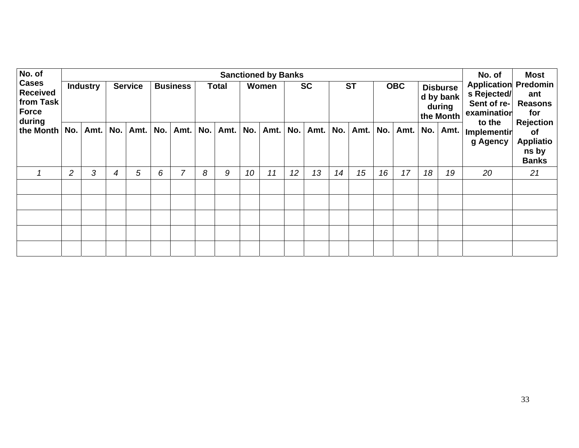| No. of                                                          |     |                 |     |                |     |                 |     |              |     | <b>Sanctioned by Banks</b> |     |           |     |           |     |            |     |                                                     | No. of                                                                             | <b>Most</b>                                      |
|-----------------------------------------------------------------|-----|-----------------|-----|----------------|-----|-----------------|-----|--------------|-----|----------------------------|-----|-----------|-----|-----------|-----|------------|-----|-----------------------------------------------------|------------------------------------------------------------------------------------|--------------------------------------------------|
| <b>Cases</b><br><b>Received</b><br>from Task<br>Force<br>during |     | <b>Industry</b> |     | <b>Service</b> |     | <b>Business</b> |     | <b>Total</b> |     | Women                      |     | <b>SC</b> |     | <b>ST</b> |     | <b>OBC</b> |     | <b>Disburse</b><br>d by bank<br>during<br>the Month | <b>Application Predomin</b><br>s Rejected/<br>Sent of re-<br>examination<br>to the | ant<br><b>Reasons</b><br>for<br><b>Rejection</b> |
| the Month                                                       | No. | Amt.            | No. | Amt.           | No. | Amt.            | No. | Amt.         | No. | Amt.                       | No. | Amt.      | No. | Amt.      | No. | Amt.       | No. | Amt.                                                | Implementin<br>g Agency                                                            | of<br><b>Appliatio</b><br>ns by<br><b>Banks</b>  |
|                                                                 | 2   | 3               | 4   | 5              | 6   | 7               | 8   | 9            | 10  | 11                         | 12  | 13        | 14  | 15        | 16  | 17         | 18  | 19                                                  | 20                                                                                 | 21                                               |
|                                                                 |     |                 |     |                |     |                 |     |              |     |                            |     |           |     |           |     |            |     |                                                     |                                                                                    |                                                  |
|                                                                 |     |                 |     |                |     |                 |     |              |     |                            |     |           |     |           |     |            |     |                                                     |                                                                                    |                                                  |
|                                                                 |     |                 |     |                |     |                 |     |              |     |                            |     |           |     |           |     |            |     |                                                     |                                                                                    |                                                  |
|                                                                 |     |                 |     |                |     |                 |     |              |     |                            |     |           |     |           |     |            |     |                                                     |                                                                                    |                                                  |
|                                                                 |     |                 |     |                |     |                 |     |              |     |                            |     |           |     |           |     |            |     |                                                     |                                                                                    |                                                  |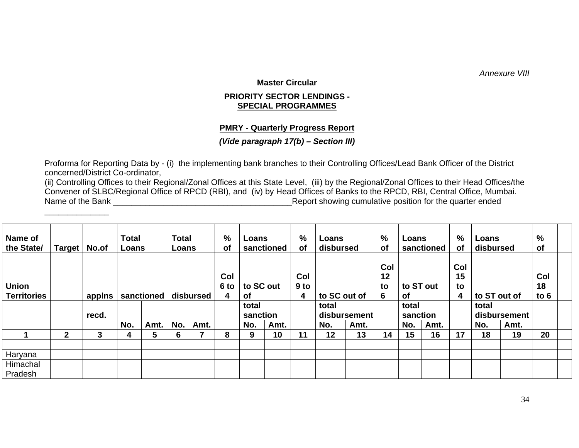*Annexure VIII* 

**Master Circular** 

## **PRIORITY SECTOR LENDINGS - SPECIAL PROGRAMMES**

## **PMRY - Quarterly Progress Report**

## *(Vide paragraph 17(b) – Section III)*

Proforma for Reporting Data by - (i) the implementing bank branches to their Controlling Offices/Lead Bank Officer of the District concerned/District Co-ordinator,

\_\_\_\_\_\_\_\_\_\_\_\_\_\_

(ii) Controlling Offices to their Regional/Zonal Offices at this State Level, (iii) by the Regional/Zonal Offices to their Head Offices/the Convener of SLBC/Regional Office of RPCD (RBI), and (iv) by Head Offices of Banks to the RPCD, RBI, Central Office, Mumbai. Name of the Bank **Name of the Bank** and the Bank and the state of the quarter ended

| Name of<br>the State/              | <b>Target</b> | No.of  | <b>Total</b><br>Loans |            | <b>Total</b><br>Loans |           | %<br>0f          | Loans             | sanctioned | %<br>оf                     | Loans<br>disbursed    |              | %<br><b>of</b>       | Loans<br>sanctioned |           | $\%$<br>of           | Loans<br>disbursed |              | %<br><b>of</b>      |  |
|------------------------------------|---------------|--------|-----------------------|------------|-----------------------|-----------|------------------|-------------------|------------|-----------------------------|-----------------------|--------------|----------------------|---------------------|-----------|----------------------|--------------------|--------------|---------------------|--|
| <b>Union</b><br><b>Territories</b> |               | applns |                       | sanctioned |                       | disbursed | Col<br>6 to<br>4 | to SC out<br>Οf   |            | Col<br>9 <sub>to</sub><br>4 |                       | to SC out of | Col<br>12<br>to<br>6 | 0f                  | to ST out | Col<br>15<br>to<br>4 | to ST out of       |              | Col<br>18<br>to $6$ |  |
|                                    |               | recd.  |                       |            |                       |           |                  | total<br>sanction |            |                             | total<br>disbursement |              |                      | total<br>sanction   |           |                      | total              | disbursement |                     |  |
|                                    |               |        | No.                   | Amt.       | No.                   | Amt.      |                  | No.               | Amt.       |                             | No.                   | Amt.         |                      | No.                 | Amt.      |                      | No.                | Amt.         |                     |  |
|                                    | $\mathbf 2$   | 3      | 4                     | 5          | 6                     |           | 8                | 9                 | 10         | 11                          | 12                    | 13           | 14                   | 15                  | 16        | 17                   | 18                 | 19           | 20                  |  |
| Haryana                            |               |        |                       |            |                       |           |                  |                   |            |                             |                       |              |                      |                     |           |                      |                    |              |                     |  |
| Himachal                           |               |        |                       |            |                       |           |                  |                   |            |                             |                       |              |                      |                     |           |                      |                    |              |                     |  |
| Pradesh                            |               |        |                       |            |                       |           |                  |                   |            |                             |                       |              |                      |                     |           |                      |                    |              |                     |  |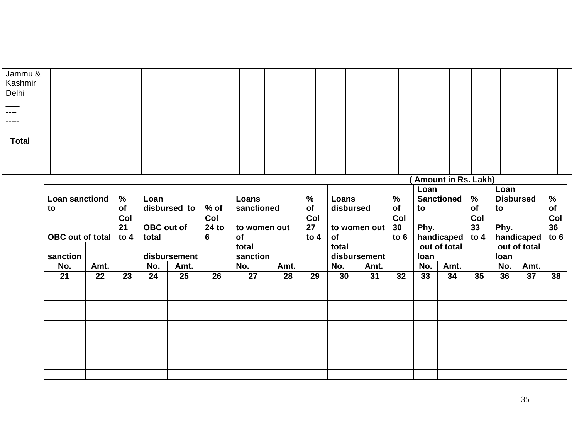| Jammu &<br>Kashmir             |  |  |  |  |  |  |  |                      |  |  |  |
|--------------------------------|--|--|--|--|--|--|--|----------------------|--|--|--|
|                                |  |  |  |  |  |  |  |                      |  |  |  |
| Delhi                          |  |  |  |  |  |  |  |                      |  |  |  |
| $\overbrace{\hspace{25mm}}^{}$ |  |  |  |  |  |  |  |                      |  |  |  |
| -----                          |  |  |  |  |  |  |  |                      |  |  |  |
| ------                         |  |  |  |  |  |  |  |                      |  |  |  |
|                                |  |  |  |  |  |  |  |                      |  |  |  |
| <b>Total</b>                   |  |  |  |  |  |  |  |                      |  |  |  |
|                                |  |  |  |  |  |  |  |                      |  |  |  |
|                                |  |  |  |  |  |  |  |                      |  |  |  |
|                                |  |  |  |  |  |  |  |                      |  |  |  |
|                                |  |  |  |  |  |  |  | (Amount in Rs. Lakh) |  |  |  |

|                         |      |               |       |              |        |              |      |           |              |      |               | Loan |                   |           | Loan             |              |               |
|-------------------------|------|---------------|-------|--------------|--------|--------------|------|-----------|--------------|------|---------------|------|-------------------|-----------|------------------|--------------|---------------|
| <b>Loan sanctiond</b>   |      | $\frac{0}{0}$ | Loan  |              |        | Loans        |      | %         | Loans        |      | $\frac{0}{0}$ |      | <b>Sanctioned</b> | %         | <b>Disbursed</b> |              | $\frac{0}{0}$ |
| to                      |      | <b>of</b>     |       | disbursed to | $%$ of | sanctioned   |      | <b>of</b> | disbursed    |      | <b>of</b>     | to   |                   | <b>of</b> | to               |              | of            |
|                         |      | Col           |       |              | Col    |              |      | Col       |              |      | Col           |      |                   | Col       |                  |              | Col           |
|                         |      | 21            |       | OBC out of   | 24 to  | to women out |      | 27        | to women out |      | 30            | Phy. |                   | 33        | Phy.             |              | 36            |
| <b>OBC</b> out of total |      | to $4$        | total |              | 6      | of           |      | to $4$    | of           |      | to $6$        |      | handicaped        | to $4$    |                  | handicaped   | to $6$        |
|                         |      |               |       |              |        | total        |      |           | total        |      |               |      | out of total      |           |                  | out of total |               |
| sanction                |      |               |       | disbursement |        | sanction     |      |           | disbursement |      |               | loan |                   |           | loan             |              |               |
| No.                     | Amt. |               | No.   | Amt.         |        | No.          | Amt. |           | No.          | Amt. |               | No.  | Amt.              |           | No.              | Amt.         |               |
| 21                      | 22   | 23            | 24    | 25           | 26     | 27           | 28   | 29        | 30           | 31   | 32            | 33   | 34                | 35        | 36               | 37           | 38            |
|                         |      |               |       |              |        |              |      |           |              |      |               |      |                   |           |                  |              |               |
|                         |      |               |       |              |        |              |      |           |              |      |               |      |                   |           |                  |              |               |
|                         |      |               |       |              |        |              |      |           |              |      |               |      |                   |           |                  |              |               |
|                         |      |               |       |              |        |              |      |           |              |      |               |      |                   |           |                  |              |               |
|                         |      |               |       |              |        |              |      |           |              |      |               |      |                   |           |                  |              |               |
|                         |      |               |       |              |        |              |      |           |              |      |               |      |                   |           |                  |              |               |
|                         |      |               |       |              |        |              |      |           |              |      |               |      |                   |           |                  |              |               |
|                         |      |               |       |              |        |              |      |           |              |      |               |      |                   |           |                  |              |               |
|                         |      |               |       |              |        |              |      |           |              |      |               |      |                   |           |                  |              |               |
|                         |      |               |       |              |        |              |      |           |              |      |               |      |                   |           |                  |              |               |
|                         |      |               |       |              |        |              |      |           |              |      |               |      |                   |           |                  |              |               |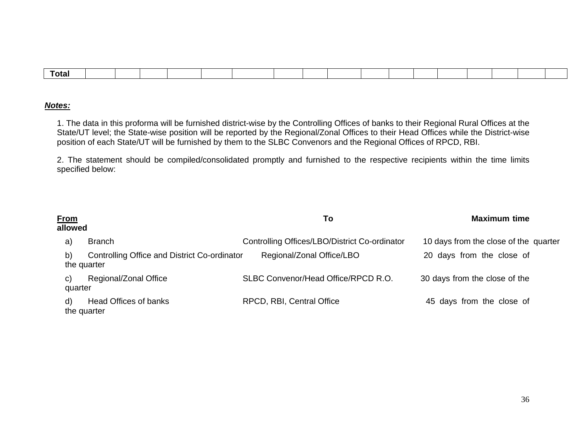| Total |  |  |  |  |  |  |  |  |  |
|-------|--|--|--|--|--|--|--|--|--|
|       |  |  |  |  |  |  |  |  |  |

### *Notes:*

1. The data in this proforma will be furnished district-wise by the Controlling Offices of banks to their Regional Rural Offices at the State/UT level; the State-wise position will be reported by the Regional/Zonal Offices to their Head Offices while the District-wise position of each State/UT will be furnished by them to the SLBC Convenors and the Regional Offices of RPCD, RBI.

2. The statement should be compiled/consolidated promptly and furnished to the respective recipients within the time limits specified below:

| <b>From</b><br>allowed |                                                             | To                                            | <b>Maximum time</b>                   |
|------------------------|-------------------------------------------------------------|-----------------------------------------------|---------------------------------------|
| a)                     | <b>Branch</b>                                               | Controlling Offices/LBO/District Co-ordinator | 10 days from the close of the quarter |
| b)                     | Controlling Office and District Co-ordinator<br>the quarter | Regional/Zonal Office/LBO                     | 20 days from the close of             |
| C)<br>quarter          | Regional/Zonal Office                                       | SLBC Convenor/Head Office/RPCD R.O.           | 30 days from the close of the         |
| d)                     | Head Offices of banks<br>the quarter                        | RPCD, RBI, Central Office                     | 45 days from the close of             |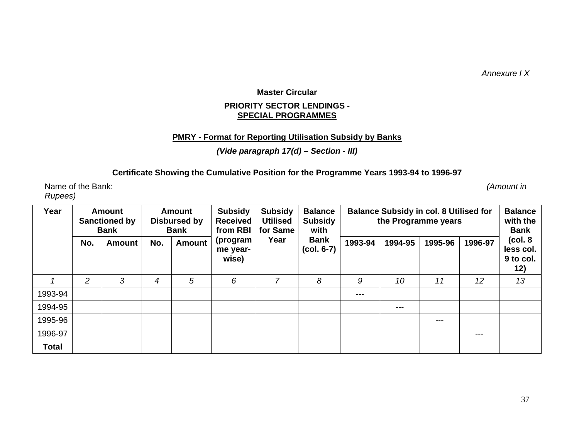*Annexure I X* 

## **Master Circular PRIORITY SECTOR LENDINGS - SPECIAL PROGRAMMES**

## **PMRY - Format for Reporting Utilisation Subsidy by Banks**

## *(Vide paragraph 17(d) – Section - III)*

## **Certificate Showing the Cumulative Position for the Programme Years 1993-94 to 1996-97**

Name of the Bank: *(Amount in ) Rupees)*

| Year         |                | <b>Amount</b><br><b>Sanctioned by</b><br><b>Bank</b> |     | <b>Amount</b><br><b>Disbursed by</b><br><b>Bank</b> | <b>Subsidy</b><br><b>Received</b><br>from RBI | <b>Subsidy</b><br><b>Utilised</b><br>for Same | <b>Balance</b><br><b>Subsidy</b><br>with | <b>Balance Subsidy in col. 8 Utilised for</b><br>the Programme years |         |         | <b>Balance</b><br>with the<br><b>Bank</b> |                                           |
|--------------|----------------|------------------------------------------------------|-----|-----------------------------------------------------|-----------------------------------------------|-----------------------------------------------|------------------------------------------|----------------------------------------------------------------------|---------|---------|-------------------------------------------|-------------------------------------------|
|              | No.            | <b>Amount</b>                                        | No. | <b>Amount</b>                                       | (program<br>me year-<br>wise)                 | Year                                          | <b>Bank</b><br>$(col. 6-7)$              | 1993-94                                                              | 1994-95 | 1995-96 | 1996-97                                   | (col. 8)<br>less col.<br>9 to col.<br>12) |
|              | $\overline{2}$ | 3                                                    | 4   | 5                                                   | 6                                             | 7                                             | 8                                        | 9                                                                    | 10      | 11      | 12                                        | 13                                        |
| 1993-94      |                |                                                      |     |                                                     |                                               |                                               |                                          | ---                                                                  |         |         |                                           |                                           |
| 1994-95      |                |                                                      |     |                                                     |                                               |                                               |                                          |                                                                      | ---     |         |                                           |                                           |
| 1995-96      |                |                                                      |     |                                                     |                                               |                                               |                                          |                                                                      |         | ---     |                                           |                                           |
| 1996-97      |                |                                                      |     |                                                     |                                               |                                               |                                          |                                                                      |         |         | $\frac{1}{2}$                             |                                           |
| <b>Total</b> |                |                                                      |     |                                                     |                                               |                                               |                                          |                                                                      |         |         |                                           |                                           |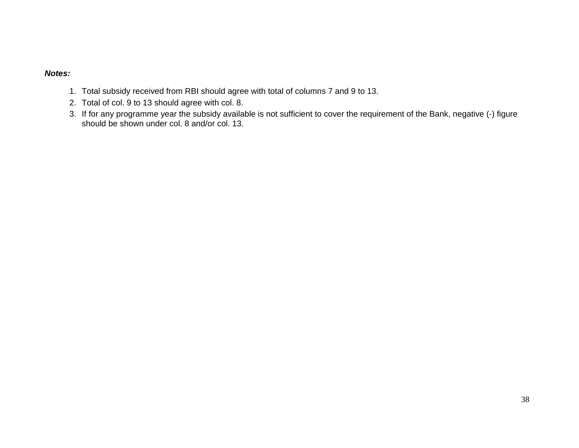## *Notes:*

- 1. Total subsidy received from RBI should agree with total of columns 7 and 9 to 13.
- 2. Total of col. 9 to 13 should agree with col. 8.
- 3. If for any programme year the subsidy available is not sufficient to cover the requirement of the Bank, negative (-) figure should be shown under col. 8 and/or col. 13.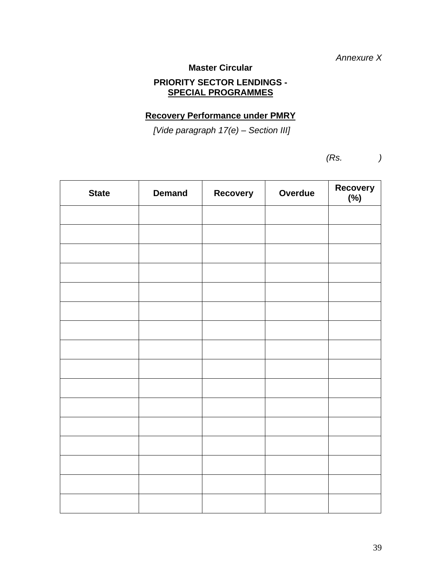*Annexure X* 

**Master Circular** 

## **PRIORITY SECTOR LENDINGS - SPECIAL PROGRAMMES**

## **Recovery Performance under PMRY**

 *[Vide paragraph 17(e) – Section III]* 

 *(Rs. )* 

| <b>State</b> | <b>Demand</b> | Recovery | Overdue | Recovery<br>(%) |
|--------------|---------------|----------|---------|-----------------|
|              |               |          |         |                 |
|              |               |          |         |                 |
|              |               |          |         |                 |
|              |               |          |         |                 |
|              |               |          |         |                 |
|              |               |          |         |                 |
|              |               |          |         |                 |
|              |               |          |         |                 |
|              |               |          |         |                 |
|              |               |          |         |                 |
|              |               |          |         |                 |
|              |               |          |         |                 |
|              |               |          |         |                 |
|              |               |          |         |                 |
|              |               |          |         |                 |
|              |               |          |         |                 |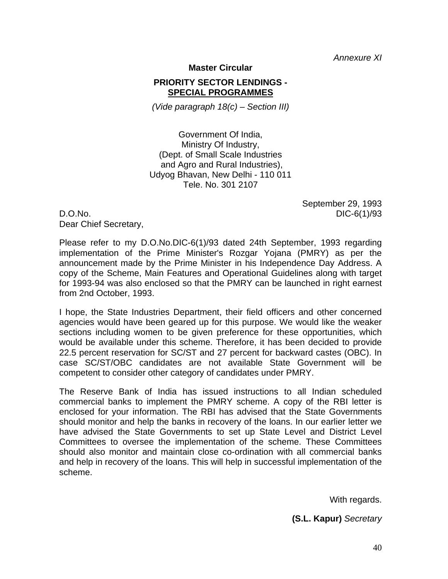*Annexure XI* 

**Master Circular** 

## **PRIORITY SECTOR LENDINGS - SPECIAL PROGRAMMES**

*(Vide paragraph 18(c) – Section III)* 

Government Of India, Ministry Of Industry, (Dept. of Small Scale Industries and Agro and Rural Industries), Udyog Bhavan, New Delhi - 110 011 Tele. No. 301 2107

D.O.No. DIC-6(1)/93 Dear Chief Secretary,

September 29, 1993

Please refer to my D.O.No.DIC-6(1)/93 dated 24th September, 1993 regarding implementation of the Prime Minister's Rozgar Yojana (PMRY) as per the announcement made by the Prime Minister in his Independence Day Address. A copy of the Scheme, Main Features and Operational Guidelines along with target for 1993-94 was also enclosed so that the PMRY can be launched in right earnest from 2nd October, 1993.

I hope, the State Industries Department, their field officers and other concerned agencies would have been geared up for this purpose. We would like the weaker sections including women to be given preference for these opportunities, which would be available under this scheme. Therefore, it has been decided to provide 22.5 percent reservation for SC/ST and 27 percent for backward castes (OBC). In case SC/ST/OBC candidates are not available State Government will be competent to consider other category of candidates under PMRY.

The Reserve Bank of India has issued instructions to all Indian scheduled commercial banks to implement the PMRY scheme. A copy of the RBI letter is enclosed for your information. The RBI has advised that the State Governments should monitor and help the banks in recovery of the loans. In our earlier letter we have advised the State Governments to set up State Level and District Level Committees to oversee the implementation of the scheme. These Committees should also monitor and maintain close co-ordination with all commercial banks and help in recovery of the loans. This will help in successful implementation of the scheme.

With regards.

 **(S.L. Kapur)** *Secretary*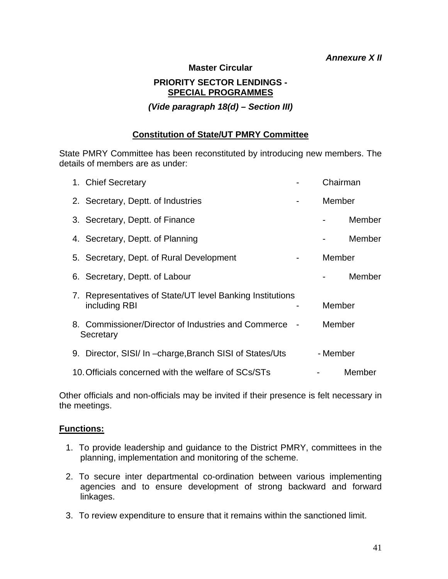## *Annexure X II*

### **Master Circular**

## **PRIORITY SECTOR LENDINGS - SPECIAL PROGRAMMES**

*(Vide paragraph 18(d) – Section III)* 

## **Constitution of State/UT PMRY Committee**

State PMRY Committee has been reconstituted by introducing new members. The details of members are as under:

| 1. Chief Secretary                                                         | Chairman |        |
|----------------------------------------------------------------------------|----------|--------|
| 2. Secretary, Deptt. of Industries                                         | Member   |        |
| 3. Secretary, Deptt. of Finance                                            |          | Member |
| 4. Secretary, Deptt. of Planning                                           |          | Member |
| 5. Secretary, Dept. of Rural Development                                   | Member   |        |
| 6. Secretary, Deptt. of Labour                                             |          | Member |
| 7. Representatives of State/UT level Banking Institutions<br>including RBI | Member   |        |
| 8. Commissioner/Director of Industries and Commerce -<br>Secretary         | Member   |        |
| 9. Director, SISI/ In -charge, Branch SISI of States/Uts                   | - Member |        |
| 10. Officials concerned with the welfare of SCs/STs                        |          | Member |

Other officials and non-officials may be invited if their presence is felt necessary in the meetings.

## **Functions:**

- 1. To provide leadership and guidance to the District PMRY, committees in the planning, implementation and monitoring of the scheme.
- 2. To secure inter departmental co-ordination between various implementing agencies and to ensure development of strong backward and forward linkages.
- 3. To review expenditure to ensure that it remains within the sanctioned limit.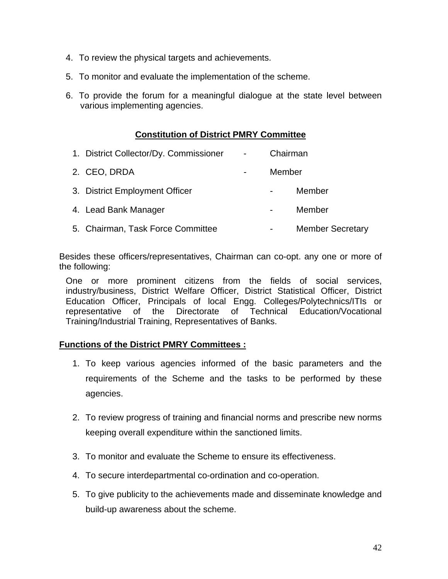- 4. To review the physical targets and achievements.
- 5. To monitor and evaluate the implementation of the scheme.
- 6. To provide the forum for a meaningful dialogue at the state level between various implementing agencies.

## **Constitution of District PMRY Committee**

| 1. District Collector/Dy. Commissioner | $\blacksquare$           |        | Chairman                |
|----------------------------------------|--------------------------|--------|-------------------------|
| 2. CEO, DRDA                           | $\overline{\phantom{a}}$ | Member |                         |
| 3. District Employment Officer         |                          |        | Member                  |
| 4. Lead Bank Manager                   |                          |        | Member                  |
| 5. Chairman, Task Force Committee      |                          |        | <b>Member Secretary</b> |

Besides these officers/representatives, Chairman can co-opt. any one or more of the following:

One or more prominent citizens from the fields of social services, industry/business, District Welfare Officer, District Statistical Officer, District Education Officer, Principals of local Engg. Colleges/Polytechnics/ITIs or representative of the Directorate of Technical Education/Vocational Training/Industrial Training, Representatives of Banks.

## **Functions of the District PMRY Committees :**

- 1. To keep various agencies informed of the basic parameters and the requirements of the Scheme and the tasks to be performed by these agencies.
- 2. To review progress of training and financial norms and prescribe new norms keeping overall expenditure within the sanctioned limits.
- 3. To monitor and evaluate the Scheme to ensure its effectiveness.
- 4. To secure interdepartmental co-ordination and co-operation.
- 5. To give publicity to the achievements made and disseminate knowledge and build-up awareness about the scheme.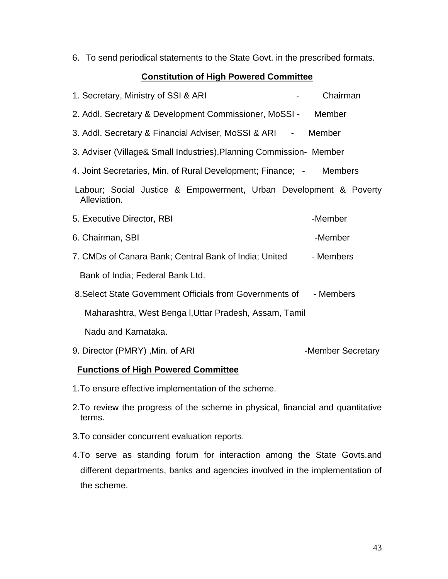6. To send periodical statements to the State Govt. in the prescribed formats.

## **Constitution of High Powered Committee**

| 1. Secretary, Ministry of SSI & ARI                                               | Chairman          |
|-----------------------------------------------------------------------------------|-------------------|
| 2. Addl. Secretary & Development Commissioner, MoSSI - Member                     |                   |
| 3. Addl. Secretary & Financial Adviser, MoSSI & ARI - Member                      |                   |
| 3. Adviser (Village& Small Industries), Planning Commission- Member               |                   |
| 4. Joint Secretaries, Min. of Rural Development; Finance; - Members               |                   |
| Labour; Social Justice & Empowerment, Urban Development & Poverty<br>Alleviation. |                   |
| 5. Executive Director, RBI                                                        | -Member           |
| 6. Chairman, SBI                                                                  | -Member           |
| 7. CMDs of Canara Bank; Central Bank of India; United                             | - Members         |
| Bank of India; Federal Bank Ltd.                                                  |                   |
| 8. Select State Government Officials from Governments of                          | - Members         |
| Maharashtra, West Benga I, Uttar Pradesh, Assam, Tamil                            |                   |
| Nadu and Karnataka.                                                               |                   |
| 9. Director (PMRY), Min. of ARI                                                   | -Member Secretary |

## **Functions of High Powered Committee**

- 1.To ensure effective implementation of the scheme.
- 2.To review the progress of the scheme in physical, financial and quantitative terms.
- 3.To consider concurrent evaluation reports.
- 4.To serve as standing forum for interaction among the State Govts.and different departments, banks and agencies involved in the implementation of the scheme.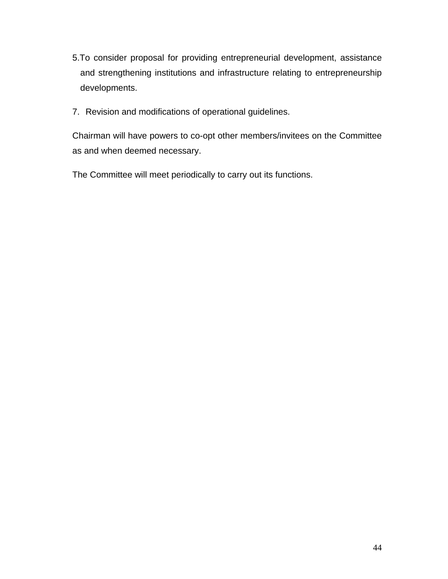- 5.To consider proposal for providing entrepreneurial development, assistance and strengthening institutions and infrastructure relating to entrepreneurship developments.
- 7. Revision and modifications of operational guidelines.

Chairman will have powers to co-opt other members/invitees on the Committee as and when deemed necessary.

The Committee will meet periodically to carry out its functions.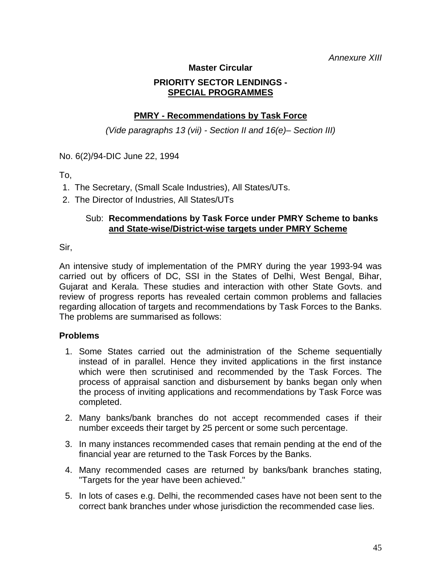*Annexure XIII* 

## **Master Circular**

## **PRIORITY SECTOR LENDINGS - SPECIAL PROGRAMMES**

## **PMRY - Recommendations by Task Force**

*(Vide paragraphs 13 (vii) - Section II and 16(e)– Section III)* 

No. 6(2)/94-DIC June 22, 1994

- To,
- 1. The Secretary, (Small Scale Industries), All States/UTs.
- 2. The Director of Industries, All States/UTs

## Sub: **Recommendations by Task Force under PMRY Scheme to banks and State-wise/District-wise targets under PMRY Scheme**

Sir,

An intensive study of implementation of the PMRY during the year 1993-94 was carried out by officers of DC, SSI in the States of Delhi, West Bengal, Bihar, Gujarat and Kerala. These studies and interaction with other State Govts. and review of progress reports has revealed certain common problems and fallacies regarding allocation of targets and recommendations by Task Forces to the Banks. The problems are summarised as follows:

## **Problems**

- 1. Some States carried out the administration of the Scheme sequentially instead of in parallel. Hence they invited applications in the first instance which were then scrutinised and recommended by the Task Forces. The process of appraisal sanction and disbursement by banks began only when the process of inviting applications and recommendations by Task Force was completed.
- 2. Many banks/bank branches do not accept recommended cases if their number exceeds their target by 25 percent or some such percentage.
- 3. In many instances recommended cases that remain pending at the end of the financial year are returned to the Task Forces by the Banks.
- 4. Many recommended cases are returned by banks/bank branches stating, "Targets for the year have been achieved."
- 5. In lots of cases e.g. Delhi, the recommended cases have not been sent to the correct bank branches under whose jurisdiction the recommended case lies.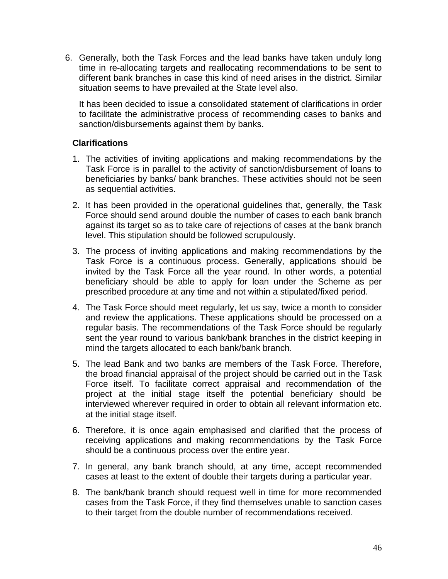6. Generally, both the Task Forces and the lead banks have taken unduly long time in re-allocating targets and reallocating recommendations to be sent to different bank branches in case this kind of need arises in the district. Similar situation seems to have prevailed at the State level also.

It has been decided to issue a consolidated statement of clarifications in order to facilitate the administrative process of recommending cases to banks and sanction/disbursements against them by banks.

## **Clarifications**

- 1. The activities of inviting applications and making recommendations by the Task Force is in parallel to the activity of sanction/disbursement of loans to beneficiaries by banks/ bank branches. These activities should not be seen as sequential activities.
- 2. It has been provided in the operational guidelines that, generally, the Task Force should send around double the number of cases to each bank branch against its target so as to take care of rejections of cases at the bank branch level. This stipulation should be followed scrupulously.
- 3. The process of inviting applications and making recommendations by the Task Force is a continuous process. Generally, applications should be invited by the Task Force all the year round. In other words, a potential beneficiary should be able to apply for loan under the Scheme as per prescribed procedure at any time and not within a stipulated/fixed period.
- 4. The Task Force should meet regularly, let us say, twice a month to consider and review the applications. These applications should be processed on a regular basis. The recommendations of the Task Force should be regularly sent the year round to various bank/bank branches in the district keeping in mind the targets allocated to each bank/bank branch.
- 5. The lead Bank and two banks are members of the Task Force. Therefore, the broad financial appraisal of the project should be carried out in the Task Force itself. To facilitate correct appraisal and recommendation of the project at the initial stage itself the potential beneficiary should be interviewed wherever required in order to obtain all relevant information etc. at the initial stage itself.
- 6. Therefore, it is once again emphasised and clarified that the process of receiving applications and making recommendations by the Task Force should be a continuous process over the entire year.
- 7. In general, any bank branch should, at any time, accept recommended cases at least to the extent of double their targets during a particular year.
- 8. The bank/bank branch should request well in time for more recommended cases from the Task Force, if they find themselves unable to sanction cases to their target from the double number of recommendations received.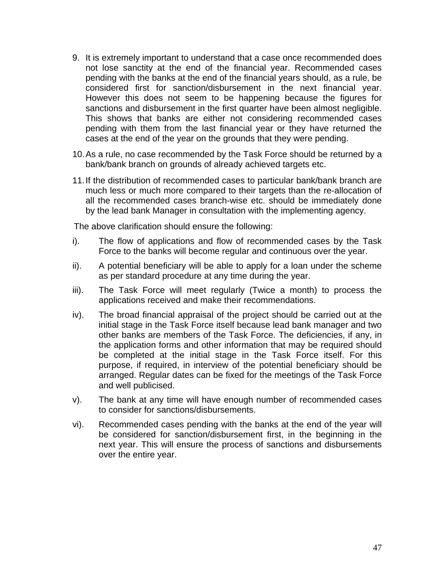- 9. It is extremely important to understand that a case once recommended does not lose sanctity at the end of the financial year. Recommended cases pending with the banks at the end of the financial years should, as a rule, be considered first for sanction/disbursement in the next financial year. However this does not seem to be happening because the figures for sanctions and disbursement in the first quarter have been almost negligible. This shows that banks are either not considering recommended cases pending with them from the last financial year or they have returned the cases at the end of the year on the grounds that they were pending.
- 10. As a rule, no case recommended by the Task Force should be returned by a bank/bank branch on grounds of already achieved targets etc.
- 11. If the distribution of recommended cases to particular bank/bank branch are much less or much more compared to their targets than the re-allocation of all the recommended cases branch-wise etc. should be immediately done by the lead bank Manager in consultation with the implementing agency.

The above clarification should ensure the following:

- i). The flow of applications and flow of recommended cases by the Task Force to the banks will become regular and continuous over the year.
- ii). A potential beneficiary will be able to apply for a loan under the scheme as per standard procedure at any time during the year.
- iii). The Task Force will meet regularly (Twice a month) to process the applications received and make their recommendations.
- iv). The broad financial appraisal of the project should be carried out at the initial stage in the Task Force itself because lead bank manager and two other banks are members of the Task Force. The deficiencies, if any, in the application forms and other information that may be required should be completed at the initial stage in the Task Force itself. For this purpose, if required, in interview of the potential beneficiary should be arranged. Regular dates can be fixed for the meetings of the Task Force and well publicised.
- v). The bank at any time will have enough number of recommended cases to consider for sanctions/disbursements.
- vi). Recommended cases pending with the banks at the end of the year will be considered for sanction/disbursement first, in the beginning in the next year. This will ensure the process of sanctions and disbursements over the entire year.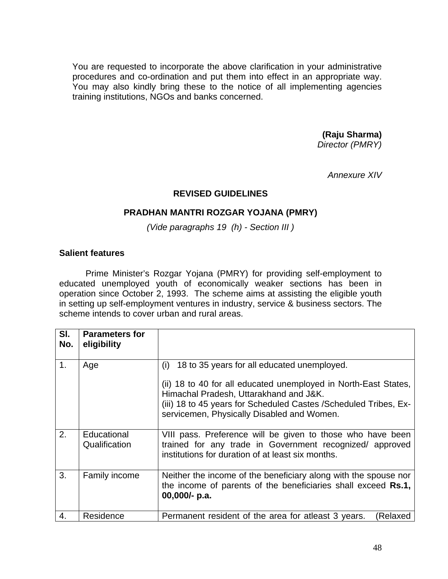You are requested to incorporate the above clarification in your administrative procedures and co-ordination and put them into effect in an appropriate way. You may also kindly bring these to the notice of all implementing agencies training institutions, NGOs and banks concerned.

> **(Raju Sharma)**  *Director (PMRY)*

> > *Annexure XIV*

## **REVISED GUIDELINES**

## **PRADHAN MANTRI ROZGAR YOJANA (PMRY)**

*(Vide paragraphs 19 (h) - Section III )* 

## **Salient features**

Prime Minister's Rozgar Yojana (PMRY) for providing self-employment to educated unemployed youth of economically weaker sections has been in operation since October 2, 1993. The scheme aims at assisting the eligible youth in setting up self-employment ventures in industry, service & business sectors. The scheme intends to cover urban and rural areas.

| SI.<br>No.     | <b>Parameters for</b><br>eligibility |                                                                                                                                                                                                                                                                                    |
|----------------|--------------------------------------|------------------------------------------------------------------------------------------------------------------------------------------------------------------------------------------------------------------------------------------------------------------------------------|
| $\mathbf{1}$ . | Age                                  | 18 to 35 years for all educated unemployed.<br>(i)<br>(ii) 18 to 40 for all educated unemployed in North-East States,<br>Himachal Pradesh, Uttarakhand and J&K.<br>(iii) 18 to 45 years for Scheduled Castes / Scheduled Tribes, Ex-<br>servicemen, Physically Disabled and Women. |
| 2.             | Educational<br>Qualification         | VIII pass. Preference will be given to those who have been<br>trained for any trade in Government recognized/ approved<br>institutions for duration of at least six months.                                                                                                        |
| 3.             | Family income                        | Neither the income of the beneficiary along with the spouse nor<br>the income of parents of the beneficiaries shall exceed Rs.1,<br>$00,000/-$ p.a.                                                                                                                                |
| 4.             | Residence                            | Permanent resident of the area for atleast 3 years.<br>Relaxed                                                                                                                                                                                                                     |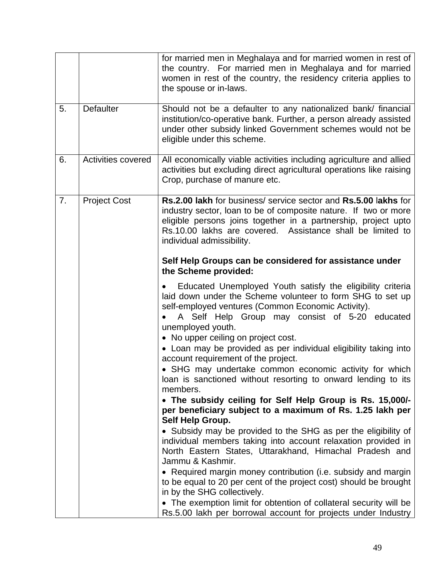|    |                     | for married men in Meghalaya and for married women in rest of<br>the country. For married men in Meghalaya and for married<br>women in rest of the country, the residency criteria applies to<br>the spouse or in-laws.                                                                         |
|----|---------------------|-------------------------------------------------------------------------------------------------------------------------------------------------------------------------------------------------------------------------------------------------------------------------------------------------|
| 5. | <b>Defaulter</b>    | Should not be a defaulter to any nationalized bank/ financial<br>institution/co-operative bank. Further, a person already assisted<br>under other subsidy linked Government schemes would not be<br>eligible under this scheme.                                                                 |
| 6. | Activities covered  | All economically viable activities including agriculture and allied<br>activities but excluding direct agricultural operations like raising<br>Crop, purchase of manure etc.                                                                                                                    |
| 7. | <b>Project Cost</b> | Rs.2.00 lakh for business/ service sector and Rs.5.00 lakhs for<br>industry sector, loan to be of composite nature. If two or more<br>eligible persons joins together in a partnership, project upto<br>Rs.10.00 lakhs are covered. Assistance shall be limited to<br>individual admissibility. |
|    |                     | Self Help Groups can be considered for assistance under<br>the Scheme provided:                                                                                                                                                                                                                 |
|    |                     | Educated Unemployed Youth satisfy the eligibility criteria<br>laid down under the Scheme volunteer to form SHG to set up<br>self-employed ventures (Common Economic Activity).<br>A Self Help Group may consist of 5-20 educated<br>unemployed youth.                                           |
|    |                     | • No upper ceiling on project cost.<br>• Loan may be provided as per individual eligibility taking into<br>account requirement of the project.<br>• SHG may undertake common economic activity for which<br>loan is sanctioned without resorting to onward lending to its<br>members.           |
|    |                     | • The subsidy ceiling for Self Help Group is Rs. 15,000/-<br>per beneficiary subject to a maximum of Rs. 1.25 lakh per<br>Self Help Group.                                                                                                                                                      |
|    |                     | • Subsidy may be provided to the SHG as per the eligibility of<br>individual members taking into account relaxation provided in<br>North Eastern States, Uttarakhand, Himachal Pradesh and<br>Jammu & Kashmir.                                                                                  |
|    |                     | • Required margin money contribution (i.e. subsidy and margin<br>to be equal to 20 per cent of the project cost) should be brought<br>in by the SHG collectively.                                                                                                                               |
|    |                     | • The exemption limit for obtention of collateral security will be<br>Rs.5.00 lakh per borrowal account for projects under Industry                                                                                                                                                             |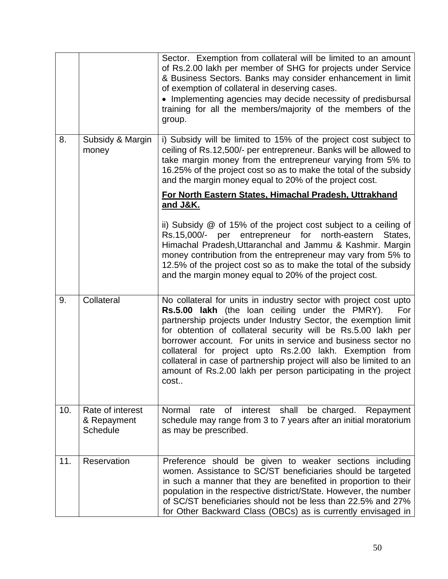|     |                                                    | Sector. Exemption from collateral will be limited to an amount<br>of Rs.2.00 lakh per member of SHG for projects under Service<br>& Business Sectors. Banks may consider enhancement in limit<br>of exemption of collateral in deserving cases.<br>• Implementing agencies may decide necessity of predisbursal<br>training for all the members/majority of the members of the<br>group.                                                                                                                                                       |
|-----|----------------------------------------------------|------------------------------------------------------------------------------------------------------------------------------------------------------------------------------------------------------------------------------------------------------------------------------------------------------------------------------------------------------------------------------------------------------------------------------------------------------------------------------------------------------------------------------------------------|
| 8.  | Subsidy & Margin<br>money                          | i) Subsidy will be limited to 15% of the project cost subject to<br>ceiling of Rs.12,500/- per entrepreneur. Banks will be allowed to<br>take margin money from the entrepreneur varying from 5% to<br>16.25% of the project cost so as to make the total of the subsidy<br>and the margin money equal to 20% of the project cost.                                                                                                                                                                                                             |
|     |                                                    | For North Eastern States, Himachal Pradesh, Uttrakhand<br>and J&K.                                                                                                                                                                                                                                                                                                                                                                                                                                                                             |
|     |                                                    | ii) Subsidy $@$ of 15% of the project cost subject to a ceiling of<br>Rs.15,000/-<br>per entrepreneur for north-eastern<br>States,<br>Himachal Pradesh, Uttaranchal and Jammu & Kashmir. Margin<br>money contribution from the entrepreneur may vary from 5% to<br>12.5% of the project cost so as to make the total of the subsidy<br>and the margin money equal to 20% of the project cost.                                                                                                                                                  |
| 9.  | Collateral                                         | No collateral for units in industry sector with project cost upto<br>Rs.5.00 lakh (the loan ceiling under the PMRY).<br>For<br>partnership projects under Industry Sector, the exemption limit<br>for obtention of collateral security will be Rs.5.00 lakh per<br>borrower account. For units in service and business sector no<br>collateral for project upto Rs.2.00 lakh. Exemption from<br>collateral in case of partnership project will also be limited to an<br>amount of Rs.2.00 lakh per person participating in the project<br>cost |
| 10. | Rate of interest<br>& Repayment<br><b>Schedule</b> | Normal<br>rate<br>of<br>interest<br>shall<br>be charged.<br>Repayment<br>schedule may range from 3 to 7 years after an initial moratorium<br>as may be prescribed.                                                                                                                                                                                                                                                                                                                                                                             |
| 11. | Reservation                                        | Preference should be given to weaker sections including<br>women. Assistance to SC/ST beneficiaries should be targeted<br>in such a manner that they are benefited in proportion to their<br>population in the respective district/State. However, the number<br>of SC/ST beneficiaries should not be less than 22.5% and 27%<br>for Other Backward Class (OBCs) as is currently envisaged in                                                                                                                                                  |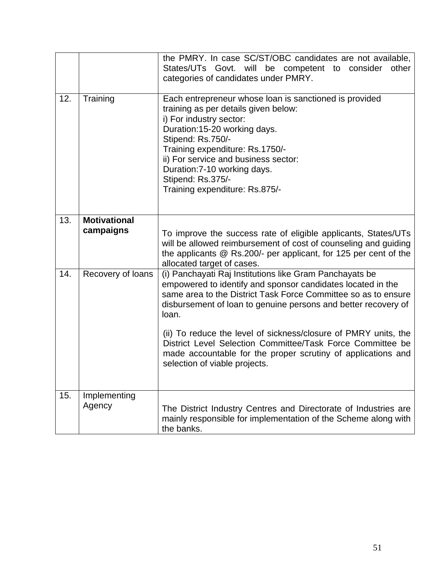|     |                                  | the PMRY. In case SC/ST/OBC candidates are not available,<br>States/UTs Govt. will be competent to consider<br>other<br>categories of candidates under PMRY.                                                                                                                                                                                     |
|-----|----------------------------------|--------------------------------------------------------------------------------------------------------------------------------------------------------------------------------------------------------------------------------------------------------------------------------------------------------------------------------------------------|
| 12. | Training                         | Each entrepreneur whose loan is sanctioned is provided<br>training as per details given below:<br>i) For industry sector:<br>Duration:15-20 working days.<br>Stipend: Rs.750/-<br>Training expenditure: Rs.1750/-<br>ii) For service and business sector:<br>Duration: 7-10 working days.<br>Stipend: Rs.375/-<br>Training expenditure: Rs.875/- |
| 13. | <b>Motivational</b><br>campaigns | To improve the success rate of eligible applicants, States/UTs<br>will be allowed reimbursement of cost of counseling and guiding<br>the applicants @ Rs.200/- per applicant, for 125 per cent of the<br>allocated target of cases.                                                                                                              |
| 14. | Recovery of loans                | (i) Panchayati Raj Institutions like Gram Panchayats be<br>empowered to identify and sponsor candidates located in the<br>same area to the District Task Force Committee so as to ensure<br>disbursement of loan to genuine persons and better recovery of<br>loan.<br>(ii) To reduce the level of sickness/closure of PMRY units, the           |
|     |                                  | District Level Selection Committee/Task Force Committee be<br>made accountable for the proper scrutiny of applications and<br>selection of viable projects.                                                                                                                                                                                      |
| 15. | Implementing<br>Agency           | The District Industry Centres and Directorate of Industries are<br>mainly responsible for implementation of the Scheme along with<br>the banks.                                                                                                                                                                                                  |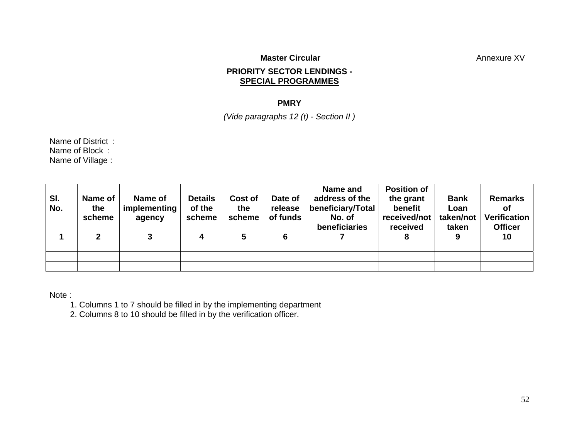## **Master Circular**  Master Circular **Annexure XV**

## **PRIORITY SECTOR LENDINGS - SPECIAL PROGRAMMES**

## **PMRY**

*(Vide paragraphs 12 (t) - Section II )* 

Name of District : Name of Block : Name of Village :

| SI.<br>No. | Name of<br>the<br>scheme | Name of<br>implementing<br>agency | <b>Details</b><br>of the<br>scheme | Cost of<br>the<br>scheme | Date of<br>release<br>of funds | Name and<br>address of the<br>beneficiary/Total<br>No. of<br>beneficiaries | <b>Position of</b><br>the grant<br>benefit<br>received/not<br>received | <b>Bank</b><br>Loan<br>taken/not<br>taken | <b>Remarks</b><br>Οf<br><b>Verification</b><br><b>Officer</b> |
|------------|--------------------------|-----------------------------------|------------------------------------|--------------------------|--------------------------------|----------------------------------------------------------------------------|------------------------------------------------------------------------|-------------------------------------------|---------------------------------------------------------------|
|            |                          |                                   |                                    |                          |                                |                                                                            |                                                                        |                                           | 10                                                            |
|            |                          |                                   |                                    |                          |                                |                                                                            |                                                                        |                                           |                                                               |
|            |                          |                                   |                                    |                          |                                |                                                                            |                                                                        |                                           |                                                               |
|            |                          |                                   |                                    |                          |                                |                                                                            |                                                                        |                                           |                                                               |

Note :

1. Columns 1 to 7 should be filled in by the implementing department

2. Columns 8 to 10 should be filled in by the verification officer.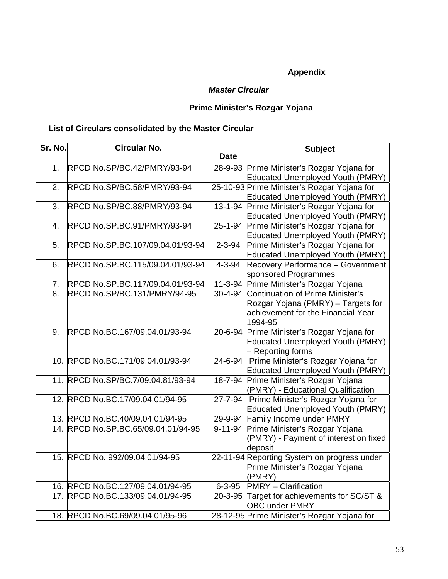# **Appendix**

## *Master Circular*

## **Prime Minister's Rozgar Yojana**

# **List of Circulars consolidated by the Master Circular**

| Sr. No. | <b>Circular No.</b>                 |               | <b>Subject</b>                              |
|---------|-------------------------------------|---------------|---------------------------------------------|
|         |                                     | <b>Date</b>   |                                             |
| 1.      | RPCD No.SP/BC.42/PMRY/93-94         | 28-9-93       | Prime Minister's Rozgar Yojana for          |
|         |                                     |               | <b>Educated Unemployed Youth (PMRY)</b>     |
| 2.      | RPCD No.SP/BC.58/PMRY/93-94         |               | 25-10-93 Prime Minister's Rozgar Yojana for |
|         |                                     |               | <b>Educated Unemployed Youth (PMRY)</b>     |
| 3.      | RPCD No.SP/BC.88/PMRY/93-94         |               | 13-1-94 Prime Minister's Rozgar Yojana for  |
|         |                                     |               | Educated Unemployed Youth (PMRY)            |
| 4.      | RPCD No.SP.BC.91/PMRY/93-94         |               | 25-1-94 Prime Minister's Rozgar Yojana for  |
|         |                                     |               | Educated Unemployed Youth (PMRY)            |
| 5.      | RPCD No.SP.BC.107/09.04.01/93-94    | $2 - 3 - 94$  | Prime Minister's Rozgar Yojana for          |
|         |                                     |               | Educated Unemployed Youth (PMRY)            |
| 6.      | RPCD No.SP.BC.115/09.04.01/93-94    | $4 - 3 - 94$  | Recovery Performance - Government           |
|         |                                     |               | sponsored Programmes                        |
| 7.      | RPCD No.SP.BC.117/09.04.01/93-94    |               | 11-3-94 Prime Minister's Rozgar Yojana      |
| 8.      | RPCD No.SP/BC.131/PMRY/94-95        |               | 30-4-94 Continuation of Prime Minister's    |
|         |                                     |               | Rozgar Yojana (PMRY) - Targets for          |
|         |                                     |               | achievement for the Financial Year          |
|         |                                     |               | 1994-95                                     |
| 9.      | RPCD No.BC.167/09.04.01/93-94       | 20-6-94       | Prime Minister's Rozgar Yojana for          |
|         |                                     |               | Educated Unemployed Youth (PMRY)            |
|         |                                     |               | - Reporting forms                           |
|         | 10. RPCD No.BC.171/09.04.01/93-94   |               | 24-6-94 Prime Minister's Rozgar Yojana for  |
|         |                                     |               | <b>Educated Unemployed Youth (PMRY)</b>     |
|         | 11. RPCD No.SP/BC.7/09.04.81/93-94  | 18-7-94       | Prime Minister's Rozgar Yojana              |
|         |                                     |               | (PMRY) - Educational Qualification          |
|         | 12. RPCD No.BC.17/09.04.01/94-95    | $27 - 7 - 94$ | Prime Minister's Rozgar Yojana for          |
|         |                                     |               | <b>Educated Unemployed Youth (PMRY)</b>     |
|         | 13. RPCD No.BC.40/09.04.01/94-95    |               | 29-9-94 Family Income under PMRY            |
|         | 14. RPCD No.SP.BC.65/09.04.01/94-95 |               | 9-11-94 Prime Minister's Rozgar Yojana      |
|         |                                     |               | (PMRY) - Payment of interest on fixed       |
|         |                                     |               | deposit                                     |
|         | 15. RPCD No. 992/09.04.01/94-95     |               | 22-11-94 Reporting System on progress under |
|         |                                     |               | Prime Minister's Rozgar Yojana              |
|         |                                     |               | (PMRY)                                      |
|         | 16. RPCD No.BC.127/09.04.01/94-95   | $6 - 3 - 95$  | <b>PMRY</b> - Clarification                 |
|         | 17. RPCD No.BC.133/09.04.01/94-95   |               | 20-3-95 Target for achievements for SC/ST & |
|         |                                     |               | <b>OBC under PMRY</b>                       |
|         | 18. RPCD No.BC.69/09.04.01/95-96    |               | 28-12-95 Prime Minister's Rozgar Yojana for |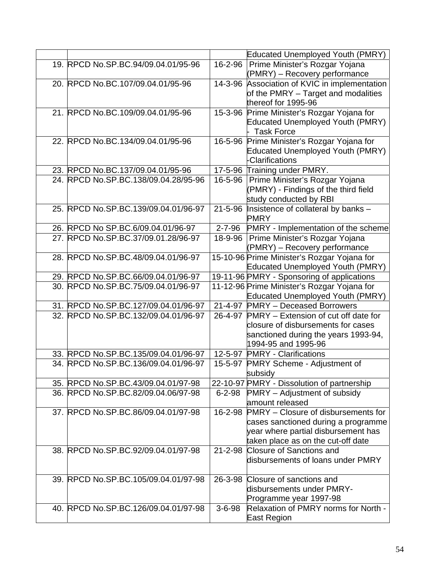|                                      |               | <b>Educated Unemployed Youth (PMRY)</b>       |
|--------------------------------------|---------------|-----------------------------------------------|
| 19. RPCD No.SP.BC.94/09.04.01/95-96  |               | 16-2-96   Prime Minister's Rozgar Yojana      |
|                                      |               | (PMRY) - Recovery performance                 |
| 20. RPCD No.BC.107/09.04.01/95-96    |               | 14-3-96 Association of KVIC in implementation |
|                                      |               | of the PMRY - Target and modalities           |
|                                      |               | thereof for 1995-96                           |
| 21. RPCD No.BC.109/09.04.01/95-96    |               | 15-3-96 Prime Minister's Rozgar Yojana for    |
|                                      |               | <b>Educated Unemployed Youth (PMRY)</b>       |
|                                      |               | <b>Task Force</b>                             |
| 22. RPCD No.BC.134/09.04.01/95-96    |               | 16-5-96 Prime Minister's Rozgar Yojana for    |
|                                      |               | <b>Educated Unemployed Youth (PMRY)</b>       |
|                                      |               | -Clarifications                               |
| 23. RPCD No.BC.137/09.04.01/95-96    |               | 17-5-96 Training under PMRY.                  |
| 24. RPCD No.SP.BC.138/09.04.28/95-96 |               | 16-5-96   Prime Minister's Rozgar Yojana      |
|                                      |               | (PMRY) - Findings of the third field          |
|                                      |               | study conducted by RBI                        |
| 25. RPCD No.SP.BC.139/09.04.01/96-97 | $21 - 5 - 96$ | Insistence of collateral by banks -           |
|                                      |               | <b>PMRY</b>                                   |
| 26. RPCD No SP.BC.6/09.04.01/96-97   |               | 2-7-96 PMRY - Implementation of the scheme    |
| 27. RPCD No.SP.BC.37/09.01.28/96-97  |               | 18-9-96   Prime Minister's Rozgar Yojana      |
|                                      |               | (PMRY) – Recovery performance                 |
| 28. RPCD No.SP.BC.48/09.04.01/96-97  |               | 15-10-96 Prime Minister's Rozgar Yojana for   |
|                                      |               | <b>Educated Unemployed Youth (PMRY)</b>       |
| 29. RPCD No.SP.BC.66/09.04.01/96-97  |               | 19-11-96 PMRY - Sponsoring of applications    |
| 30. RPCD No.SP.BC.75/09.04.01/96-97  |               | 11-12-96 Prime Minister's Rozgar Yojana for   |
|                                      |               | Educated Unemployed Youth (PMRY)              |
| 31. RPCD No.SP.BC.127/09.04.01/96-97 |               | 21-4-97 PMRY - Deceased Borrowers             |
| 32. RPCD No.SP.BC.132/09.04.01/96-97 |               | 26-4-97 PMRY – Extension of cut off date for  |
|                                      |               | closure of disbursements for cases            |
|                                      |               | sanctioned during the years 1993-94,          |
|                                      |               | 1994-95 and 1995-96                           |
| 33. RPCD No.SP.BC.135/09.04.01/96-97 |               | 12-5-97 PMRY - Clarifications                 |
| 34. RPCD No.SP.BC.136/09.04.01/96-97 | 15-5-97       | <b>PMRY Scheme - Adjustment of</b>            |
|                                      |               | subsidy                                       |
| 35. RPCD No.SP.BC.43/09.04.01/97-98  |               | 22-10-97 PMRY - Dissolution of partnership    |
| 36. RPCD No.SP.BC.82/09.04.06/97-98  | 6-2-98        | PMRY - Adjustment of subsidy                  |
|                                      |               | amount released                               |
| 37. RPCD No.SP.BC.86/09.04.01/97-98  | 16-2-98       | <b>PMRY</b> – Closure of disbursements for    |
|                                      |               | cases sanctioned during a programme           |
|                                      |               | year where partial disbursement has           |
|                                      |               | taken place as on the cut-off date            |
| 38. RPCD No.SP.BC.92/09.04.01/97-98  |               | 21-2-98 Closure of Sanctions and              |
|                                      |               | disbursements of loans under PMRY             |
| 39. RPCD No.SP.BC.105/09.04.01/97-98 | 26-3-98       | Closure of sanctions and                      |
|                                      |               | disbursements under PMRY-                     |
|                                      |               | Programme year 1997-98                        |
| 40. RPCD No.SP.BC.126/09.04.01/97-98 | $3 - 6 - 98$  | Relaxation of PMRY norms for North -          |
|                                      |               | East Region                                   |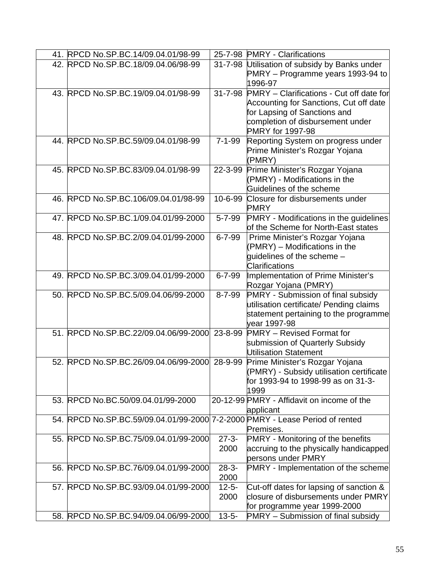| 41. RPCD No.SP.BC.14/09.04.01/98-99                                          |               | 25-7-98 PMRY - Clarifications                 |
|------------------------------------------------------------------------------|---------------|-----------------------------------------------|
| 42. RPCD No.SP.BC.18/09.04.06/98-99                                          |               | 31-7-98 Utilisation of subsidy by Banks under |
|                                                                              |               | PMRY – Programme years 1993-94 to             |
|                                                                              |               | 1996-97                                       |
| 43. RPCD No.SP.BC.19/09.04.01/98-99                                          | $31 - 7 - 98$ | PMRY - Clarifications - Cut off date for      |
|                                                                              |               | Accounting for Sanctions, Cut off date        |
|                                                                              |               | for Lapsing of Sanctions and                  |
|                                                                              |               | completion of disbursement under              |
|                                                                              |               | <b>PMRY</b> for 1997-98                       |
| 44. RPCD No.SP.BC.59/09.04.01/98-99                                          | $7 - 1 - 99$  | Reporting System on progress under            |
|                                                                              |               | Prime Minister's Rozgar Yojana                |
|                                                                              |               | (PMRY)                                        |
| 45. RPCD No.SP.BC.83/09.04.01/98-99                                          | 22-3-99       | Prime Minister's Rozgar Yojana                |
|                                                                              |               | (PMRY) - Modifications in the                 |
|                                                                              |               | Guidelines of the scheme                      |
| 46. RPCD No.SP.BC.106/09.04.01/98-99                                         | 10-6-99       | Closure for disbursements under               |
|                                                                              |               |                                               |
| 47. RPCD No.SP.BC.1/09.04.01/99-2000                                         |               | <b>PMRY</b>                                   |
|                                                                              | $5 - 7 - 99$  | <b>PMRY</b> - Modifications in the guidelines |
|                                                                              |               | of the Scheme for North-East states           |
| 48. RPCD No.SP.BC.2/09.04.01/99-2000                                         | $6 - 7 - 99$  | Prime Minister's Rozgar Yojana                |
|                                                                              |               | (PMRY) - Modifications in the                 |
|                                                                              |               | guidelines of the scheme -                    |
|                                                                              |               | <b>Clarifications</b>                         |
| 49. RPCD No.SP.BC.3/09.04.01/99-2000                                         | $6 - 7 - 99$  | Implementation of Prime Minister's            |
|                                                                              |               | Rozgar Yojana (PMRY)                          |
| 50. RPCD No.SP.BC.5/09.04.06/99-2000                                         | $8 - 7 - 99$  | PMRY - Submission of final subsidy            |
|                                                                              |               | utilisation certificate/ Pending claims       |
|                                                                              |               | statement pertaining to the programme         |
|                                                                              |               | vear 1997-98                                  |
| 51. RPCD No.SP.BC.22/09.04.06/99-2000 23-8-99                                |               | <b>PMRY</b> – Revised Format for              |
|                                                                              |               | submission of Quarterly Subsidy               |
|                                                                              |               | Utilisation Statement                         |
| 52. RPCD No.SP.BC.26/09.04.06/99-2000                                        | 28-9-99       | Prime Minister's Rozgar Yojana                |
|                                                                              |               | (PMRY) - Subsidy utilisation certificate      |
|                                                                              |               | for 1993-94 to 1998-99 as on 31-3-            |
|                                                                              |               | 1999                                          |
| 53. RPCD No.BC.50/09.04.01/99-2000                                           |               | 20-12-99 PMRY - Affidavit on income of the    |
|                                                                              |               | applicant                                     |
| 54. RPCD No.SP.BC.59/09.04.01/99-2000 7-2-2000 PMRY - Lease Period of rented |               |                                               |
|                                                                              |               | Premises.                                     |
| 55. RPCD No.SP.BC.75/09.04.01/99-2000                                        | $27 - 3 -$    | <b>PMRY</b> - Monitoring of the benefits      |
|                                                                              | 2000          | accruing to the physically handicapped        |
|                                                                              |               | persons under PMRY                            |
| 56. RPCD No.SP.BC.76/09.04.01/99-2000                                        | $28-3-$       | <b>PMRY</b> - Implementation of the scheme    |
|                                                                              | 2000          |                                               |
| 57. RPCD No.SP.BC.93/09.04.01/99-2000                                        | $12 - 5 -$    | Cut-off dates for lapsing of sanction &       |
|                                                                              | 2000          | closure of disbursements under PMRY           |
|                                                                              |               | for programme year 1999-2000                  |
| 58. RPCD No.SP.BC.94/09.04.06/99-2000                                        | $13 - 5 -$    | PMRY - Submission of final subsidy            |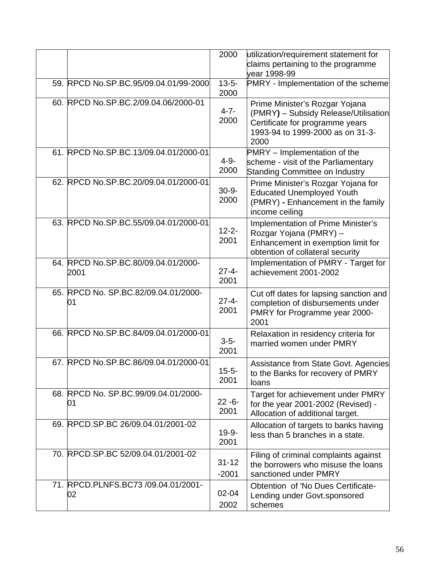|                                             | 2000                 | utilization/requirement statement for<br>claims pertaining to the programme<br>vear 1998-99                                                           |
|---------------------------------------------|----------------------|-------------------------------------------------------------------------------------------------------------------------------------------------------|
| 59. RPCD No.SP.BC.95/09.04.01/99-2000       | $13 - 5 -$<br>2000   | PMRY - Implementation of the scheme                                                                                                                   |
| 60. RPCD No.SP.BC.2/09.04.06/2000-01        | $4 - 7 -$<br>2000    | Prime Minister's Rozgar Yojana<br>(PMRY) - Subsidy Release/Utilisation<br>Certificate for programme years<br>1993-94 to 1999-2000 as on 31-3-<br>2000 |
| 61. RPCD No.SP.BC.13/09.04.01/2000-01       | $4 - 9 -$<br>2000    | PMRY - Implementation of the<br>scheme - visit of the Parliamentary<br><b>Standing Committee on Industry</b>                                          |
| 62. RPCD No.SP.BC.20/09.04.01/2000-01       | $30 - 9 -$<br>2000   | Prime Minister's Rozgar Yojana for<br><b>Educated Unemployed Youth</b><br>(PMRY) - Enhancement in the family<br>income ceiling                        |
| 63. RPCD No.SP.BC.55/09.04.01/2000-01       | $12 - 2 -$<br>2001   | Implementation of Prime Minister's<br>Rozgar Yojana (PMRY) -<br>Enhancement in exemption limit for<br>obtention of collateral security                |
| 64. RPCD No.SP.BC.80/09.04.01/2000-<br>2001 | $27 - 4 -$<br>2001   | Implementation of PMRY - Target for<br>achievement 2001-2002                                                                                          |
| 65. RPCD No. SP.BC.82/09.04.01/2000-<br>01  | $27 - 4 -$<br>2001   | Cut off dates for lapsing sanction and<br>completion of disbursements under<br>PMRY for Programme year 2000-<br>2001                                  |
| 66. RPCD No.SP.BC.84/09.04.01/2000-01       | $3 - 5 -$<br>2001    | Relaxation in residency criteria for<br>married women under PMRY                                                                                      |
| 67. RPCD No.SP.BC.86/09.04.01/2000-01       | $15 - 5 -$<br>2001   | Assistance from State Govt. Agencies<br>to the Banks for recovery of PMRY<br>loans                                                                    |
| 68. RPCD No. SP.BC.99/09.04.01/2000-<br>01  | $22 - 6 -$<br>2001   | Target for achievement under PMRY<br>for the year 2001-2002 (Revised) -<br>Allocation of additional target.                                           |
| 69. RPCD.SP.BC 26/09.04.01/2001-02          | $19 - 9 -$<br>2001   | Allocation of targets to banks having<br>less than 5 branches in a state.                                                                             |
| 70. RPCD.SP.BC 52/09.04.01/2001-02          | $31 - 12$<br>$-2001$ | Filing of criminal complaints against<br>the borrowers who misuse the loans<br>sanctioned under PMRY                                                  |
| 71. RPCD.PLNFS.BC73 /09.04.01/2001-<br>02   | 02-04<br>2002        | Obtention of 'No Dues Certificate-<br>Lending under Govt.sponsored<br>schemes                                                                         |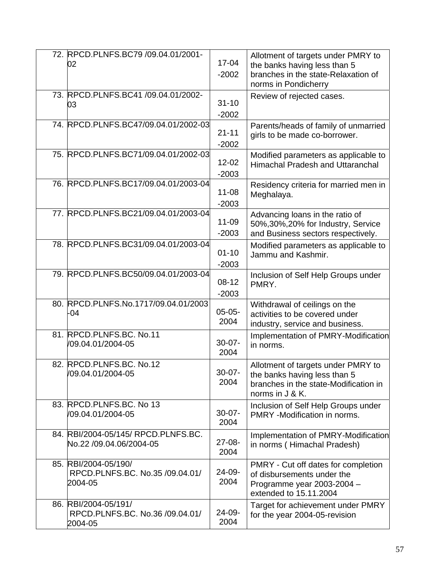| 72. RPCD.PLNFS.BC79 /09.04.01/2001-<br>02                          | 17-04<br>$-2002$     | Allotment of targets under PMRY to<br>the banks having less than 5<br>branches in the state-Relaxation of<br>norms in Pondicherry |
|--------------------------------------------------------------------|----------------------|-----------------------------------------------------------------------------------------------------------------------------------|
| 73. RPCD.PLNFS.BC41 /09.04.01/2002-<br>03                          | $31 - 10$<br>$-2002$ | Review of rejected cases.                                                                                                         |
| 74. RPCD.PLNFS.BC47/09.04.01/2002-03                               | $21 - 11$<br>$-2002$ | Parents/heads of family of unmarried<br>girls to be made co-borrower.                                                             |
| 75. RPCD.PLNFS.BC71/09.04.01/2002-03                               | $12 - 02$<br>$-2003$ | Modified parameters as applicable to<br>Himachal Pradesh and Uttaranchal                                                          |
| 76. RPCD.PLNFS.BC17/09.04.01/2003-04                               | $11 - 08$<br>$-2003$ | Residency criteria for married men in<br>Meghalaya.                                                                               |
| 77. RPCD.PLNFS.BC21/09.04.01/2003-04                               | 11-09<br>$-2003$     | Advancing loans in the ratio of<br>50%, 30%, 20% for Industry, Service<br>and Business sectors respectively.                      |
| 78. RPCD.PLNFS.BC31/09.04.01/2003-04                               | $01 - 10$<br>$-2003$ | Modified parameters as applicable to<br>Jammu and Kashmir.                                                                        |
| 79. RPCD.PLNFS.BC50/09.04.01/2003-04                               | $08-12$<br>$-2003$   | Inclusion of Self Help Groups under<br>PMRY.                                                                                      |
| 80. RPCD.PLNFS.No.1717/09.04.01/2003<br>$-04$                      | $05-05-$<br>2004     | Withdrawal of ceilings on the<br>activities to be covered under<br>industry, service and business.                                |
| 81. RPCD.PLNFS.BC. No.11<br>/09.04.01/2004-05                      | $30 - 07 -$<br>2004  | Implementation of PMRY-Modification<br>in norms.                                                                                  |
| 82. RPCD.PLNFS.BC. No.12<br>/09.04.01/2004-05                      | $30 - 07 -$<br>2004  | Allotment of targets under PMRY to<br>the banks having less than 5<br>branches in the state-Modification in<br>norms in J & K.    |
| 83. RPCD.PLNFS.BC. No 13<br>/09.04.01/2004-05                      | $30 - 07 -$<br>2004  | Inclusion of Self Help Groups under<br>PMRY -Modification in norms.                                                               |
| 84. RBI/2004-05/145/ RPCD.PLNFS.BC.<br>No.22 /09.04.06/2004-05     | $27-08-$<br>2004     | Implementation of PMRY-Modification<br>in norms (Himachal Pradesh)                                                                |
| 85. RBI/2004-05/190/<br>RPCD.PLNFS.BC. No.35 /09.04.01/<br>2004-05 | 24-09-<br>2004       | PMRY - Cut off dates for completion<br>of disbursements under the<br>Programme year 2003-2004 -<br>extended to 15.11.2004         |
| 86. RBI/2004-05/191/<br>RPCD.PLNFS.BC. No.36 /09.04.01/<br>2004-05 | 24-09-<br>2004       | Target for achievement under PMRY<br>for the year 2004-05-revision                                                                |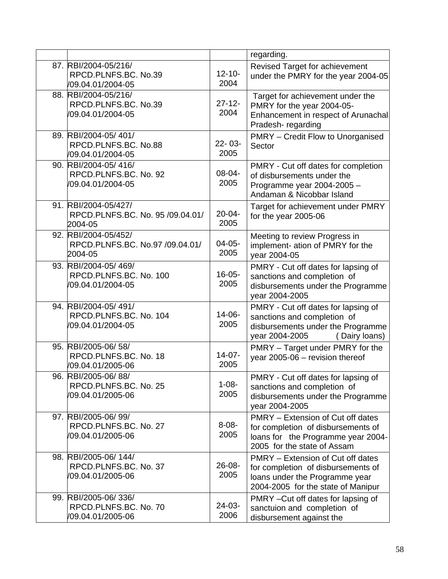|     |                                                                     |                     | regarding.                                                                                                                                      |
|-----|---------------------------------------------------------------------|---------------------|-------------------------------------------------------------------------------------------------------------------------------------------------|
|     | 87. RBI/2004-05/216/<br>RPCD.PLNFS.BC. No.39<br>/09.04.01/2004-05   | $12 - 10 -$<br>2004 | Revised Target for achievement<br>under the PMRY for the year 2004-05                                                                           |
|     | 88. RBI/2004-05/216/<br>RPCD.PLNFS.BC. No.39<br>/09.04.01/2004-05   | $27 - 12 -$<br>2004 | Target for achievement under the<br>PMRY for the year 2004-05-<br>Enhancement in respect of Arunachal<br>Pradesh-regarding                      |
|     | 89. RBI/2004-05/401/<br>RPCD.PLNFS.BC. No.88<br>/09.04.01/2004-05   | $22 - 03 -$<br>2005 | <b>PMRY</b> – Credit Flow to Unorganised<br>Sector                                                                                              |
|     | 90. RBI/2004-05/416/<br>RPCD.PLNFS.BC. No. 92<br>/09.04.01/2004-05  | $08 - 04 -$<br>2005 | PMRY - Cut off dates for completion<br>of disbursements under the<br>Programme year 2004-2005 -<br>Andaman & Nicobbar Island                    |
|     | 91. RBI/2004-05/427/<br>RPCD.PLNFS.BC. No. 95 /09.04.01/<br>2004-05 | $20 - 04 -$<br>2005 | Target for achievement under PMRY<br>for the year 2005-06                                                                                       |
|     | 92. RBI/2004-05/452/<br>RPCD.PLNFS.BC. No.97 /09.04.01/<br>2004-05  | $04-05-$<br>2005    | Meeting to review Progress in<br>implement- ation of PMRY for the<br>year 2004-05                                                               |
|     | 93. RBI/2004-05/469/<br>RPCD.PLNFS.BC. No. 100<br>/09.04.01/2004-05 | $16 - 05 -$<br>2005 | PMRY - Cut off dates for lapsing of<br>sanctions and completion of<br>disbursements under the Programme<br>year 2004-2005                       |
|     | 94. RBI/2004-05/491/<br>RPCD.PLNFS.BC. No. 104<br>/09.04.01/2004-05 | $14 - 06 -$<br>2005 | PMRY - Cut off dates for lapsing of<br>sanctions and completion of<br>disbursements under the Programme<br>year 2004-2005<br>(Dairy loans)      |
|     | 95. RBI/2005-06/58/<br>RPCD.PLNFS.BC. No. 18<br>/09.04.01/2005-06   | $14-07-$<br>2005    | PMRY - Target under PMRY for the<br>year 2005-06 - revision thereof                                                                             |
| 96. | RBI/2005-06/88/<br>RPCD.PLNFS.BC. No. 25<br>/09.04.01/2005-06       | $1 - 08 -$<br>2005  | PMRY - Cut off dates for lapsing of<br>sanctions and completion of<br>disbursements under the Programme<br>year 2004-2005                       |
|     | 97. RBI/2005-06/99/<br>RPCD.PLNFS.BC. No. 27<br>/09.04.01/2005-06   | $8 - 08 -$<br>2005  | PMRY - Extension of Cut off dates<br>for completion of disbursements of<br>loans for the Programme year 2004-<br>2005 for the state of Assam    |
|     | 98. RBI/2005-06/144/<br>RPCD.PLNFS.BC. No. 37<br>/09.04.01/2005-06  | 26-08-<br>2005      | PMRY – Extension of Cut off dates<br>for completion of disbursements of<br>loans under the Programme year<br>2004-2005 for the state of Manipur |
|     | 99. RBI/2005-06/336/<br>RPCD.PLNFS.BC. No. 70<br>/09.04.01/2005-06  | $24-03-$<br>2006    | PMRY - Cut off dates for lapsing of<br>sanctuion and completion of<br>disbursement against the                                                  |